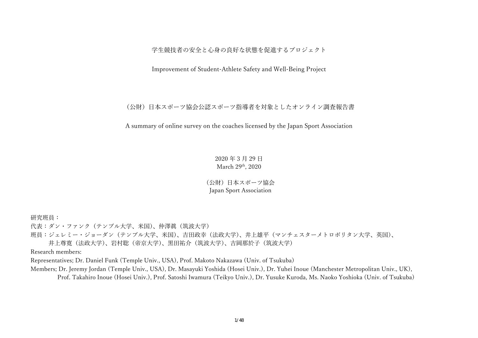学生競技者の安全と心身の良好な状態を促進するプロジェクト

Improvement of Student-Athlete Safety and Well-Being Project

(公財)⽇本スポーツ協会公認スポーツ指導者を対象としたオンライン調査報告書

A summary of online survey on the coaches licensed by the Japan Sport Association

2020 年 3 ⽉ 29 ⽇ March 29th, 2020

(公財) 日本スポーツ協会 Japan Sport Association

研究班員:

代表:ダン・ファンク(テンプル大学、米国)、仲澤眞(筑波大学)

班員:ジェレミー・ジョーダン (テンプル大学、米国)、吉田政幸 (法政大学)、井上雄平 (マンチェスターメトロポリタン大学、英国)、

井上尊寛(法政大学)、岩村聡(帝京大学)、黒田祐介(筑波大学)、吉岡那於子(筑波大学)

Research members:

Representatives; Dr. Daniel Funk (Temple Univ., USA), Prof. Makoto Nakazawa (Univ. of Tsukuba)

Members; Dr. Jeremy Jordan (Temple Univ., USA), Dr. Masayuki Yoshida (Hosei Univ.), Dr. Yuhei Inoue (Manchester Metropolitan Univ., UK), Prof. Takahiro Inoue (Hosei Univ.), Prof. Satoshi Iwamura (Teikyo Univ.), Dr. Yusuke Kuroda, Ms. Naoko Yoshioka (Univ. of Tsukuba)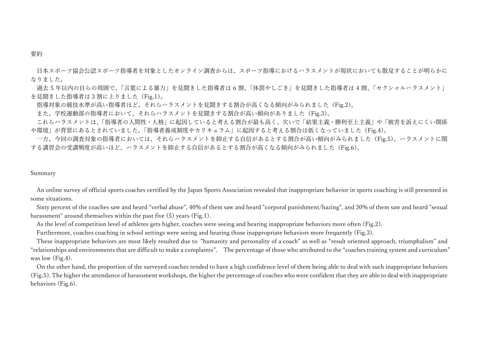#### 要約

日本スポーツ協会公認スポーツ指導者を対象としたオンライン調査からは、スポーツ指導におけるハラスメントが現状においても散見することが明らかに なりました。

過去 5 年以内の自らの周囲で、「言葉による暴力」を見聞きした指導者は 6 割、「体罰やしごき」を見聞きした指導者は 4 割、「セクシャルハラスメント」 を見聞きした指導者は 3 割に上りました(Fig.1)。

指導対象の競技水準が高い指導者ほど、それらハラスメントを見聞きする割合が高くなる傾向がみられました(Fig.2)。

また、学校運動部の指導者において、それらハラスメントを見聞きする割合が高い傾向がありました(Fig.3)。

これらハラスメントは、「指導者の人間性・人格」に起因していると考える割合が最も高く、次いで「結果主義・勝利至上主義」や「被害を訴えにくい関係 や環境」が背景にあるとされていました。「指導者養成制度やカリキュラム」に起因すると考える割合は低くなっていました(Fig.4)。

一方、今回の調査対象の指導者においては、それらハラスメントを抑止する自信があるとする割合が高い傾向がみられました(Fig.5)。ハラスメントに関 する講習会の受講頻度が高いほど、ハラスメントを抑止する自信があるとする割合が高くなる傾向がみられました(Fig.6)。

#### Summary

An online survey of official sports coaches certified by the Japan Sports Association revealed that inappropriate behavior in sports coaching is still presented in some situations.

Sixty percent of the coaches saw and heard "verbal abuse", 40% of them saw and heard "corporal punishment/hazing", and 30% of them saw and heard "sexual harassment" around themselves within the past five (5) years (Fig.1).

As the level of competition level of athletes gets higher, coaches were seeing and hearing inappropriate behaviors more often (Fig.2).

Furthermore, coaches coaching in school settings were seeing and hearing those inappropriate behaviors more frequently (Fig.3).

These inappropriate behaviors are most likely resulted due to "humanity and personality of a coach" as well as "result oriented approach, triumphalism" and "relationships and environments that are difficult to make a complaints". The percentage of those who attributed to the "coaches training system and curriculum" was low (Fig.4).

On the other hand, the proportion of the surveyed coaches tended to have a high confidence level of them being able to deal with such inappropriate behaviors (Fig.5). The higher the attendance of harassment workshops, the higher the percentage of coaches who were confident that they are able to deal with inappropriate behaviors (Fig.6).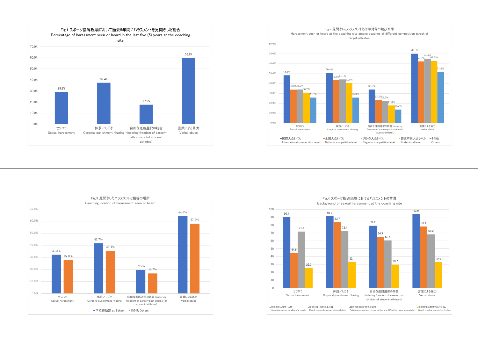





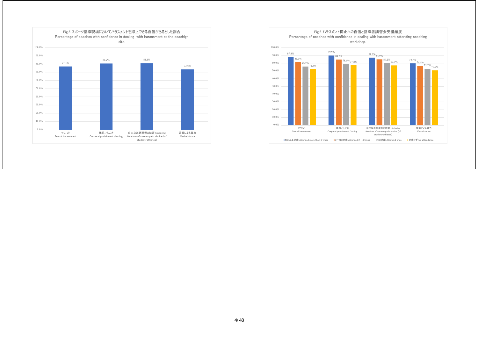

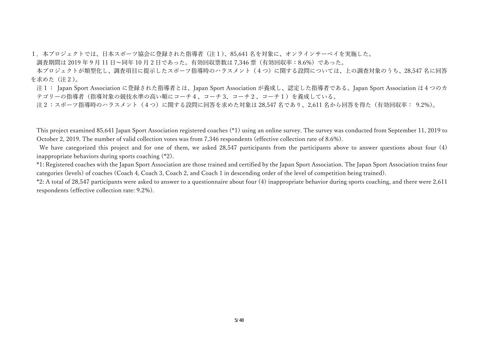1.本プロジェクトでは、⽇本スポーツ協会に登録された指導者(注1)、85,641 名を対象に、オンラインサーベイを実施した。

調査期間は 2019 年 9 月 11 日~同年 10 月 2 日であった。有効回収票数は 7.346 票 (有効回収率: 8.6%) であった。

本プロジェクトが類型化し、調査項目に提示したスポーツ指導時のハラスメント(4つ)に関する設問については、上の調査対象のうち、28.547 名に回答 を求めた(注2)。

注1: Japan Sport Association に登録された指導者とは、Japan Sport Association が養成し、認定した指導者である。Japan Sport Association は4つのカ テゴリーの指導者(指導対象の競技水準の高い順にコーチ4、コーチ3、コーチ2、コーチ1)を養成している。

注2:スポーツ指導時のハラスメント(4つ)に関する設問に回答を求めた対象は 28,547 名であり、2,611 名から回答を得た(有効回収率: 9.2%)。

This project examined 85,641 Japan Sport Association registered coaches (\*1) using an online survey. The survey was conducted from September 11, 2019 to October 2, 2019. The number of valid collection votes was from 7,346 respondents (effective collection rate of 8.6%).

 We have categorized this project and for one of them, we asked 28,547 participants from the participants above to answer questions about four (4) inappropriate behaviors during sports coaching (\*2).

\*1: Registered coaches with the Japan Sport Association are those trained and certified by the Japan Sport Association. The Japan Sport Association trains four categories (levels) of coaches (Coach 4, Coach 3, Coach 2, and Coach 1 in descending order of the level of competition being trained).

\*2: A total of 28,547 participants were asked to answer to a questionnaire about four (4) inappropriate behavior during sports coaching, and there were 2,611 respondents (effective collection rate: 9.2%).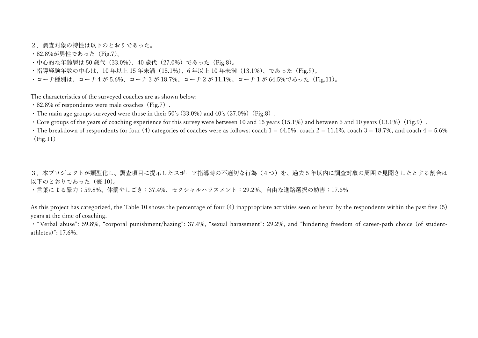2.調査対象の特性は以下のとおりであった。

- ・82.8%が男性であった(Fig.7)。
- ・中心的な年齢層は 50 歳代(33.0%)、40 歳代(27.0%)であった(Fig.8)。
- ·指導経験年数の中心は、10年以上 15 年未満 (15.1%)、6 年以上 10 年未満 (13.1%)、であった(Fig.9)。
- ・コーチ種別は、コーチ4が 5.6%、コーチ 3 が 18.7%、コーチ2が 11.1%、コーチ1が 64.5%であった(Fig.11)。

The characteristics of the surveyed coaches are as shown below:

- $\cdot$  82.8% of respondents were male coaches (Fig.7).
- $\cdot$  The main age groups surveyed were those in their 50's (33.0%) and 40's (27.0%) (Fig.8).
- Core groups of the years of coaching experience for this survey were between 10 and 15 years  $(15.1%)$  and between 6 and 10 years  $(13.1%)$  (Fig.9).
- $\cdot$  The breakdown of respondents for four (4) categories of coaches were as follows: coach 1 = 64.5%, coach 2 = 11.1%, coach 3 = 18.7%, and coach 4 = 5.6% (Fig.11)

3.本プロジェクトが類型化し、調査項目に提示したスポーツ指導時の不適切な行為(4つ)を、過去 5 年以内に調査対象の周囲で見聞きしたとする割合は 以下のとおりであった(表 10)。

・言葉による暴力;59.8%、体罰やしごき:37.4%、セクシャルハラスメント:29.2%、自由な進路選択の妨害:17.6%

As this project has categorized, the Table 10 shows the percentage of four (4) inappropriate activities seen or heard by the respondents within the past five (5) years at the time of coaching.

・"Verbal abuse": 59.8%, "corporal punishment/hazing": 37.4%, "sexual harassment": 29.2%, and "hindering freedom of career-path choice (of studentathletes)": 17.6%.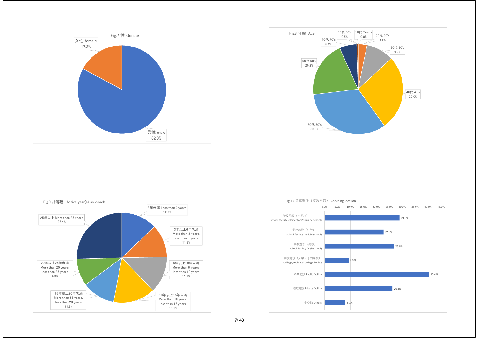





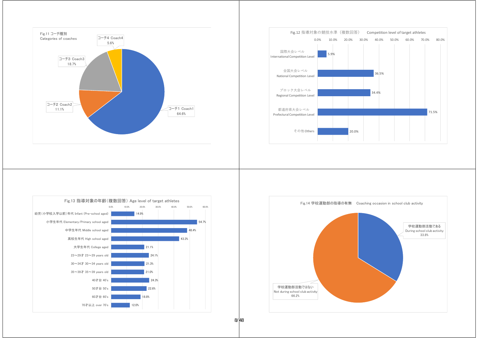







8/48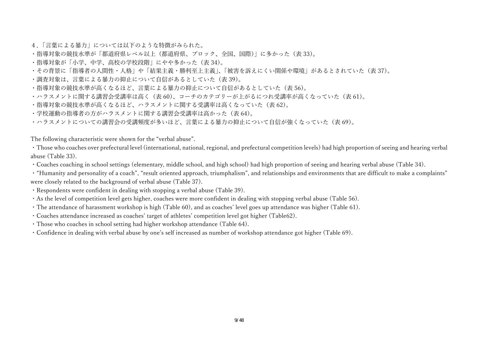- 4.「言葉による暴力」については以下のような特徴がみられた。
- ・指導対象の競技水準が「都道府県レベル以上(都道府県、ブロック、全国、国際)」に多かった(表 33)。
- ・指導対象が「⼩学、中学、⾼校の学校段階」にやや多かった(表 34)。
- ・その背景に「指導者の人間性・人格」や「結果主義・勝利至上主義」、「被害を訴えにくい関係や環境」があるとされていた(表 37)。
- ・調査対象は、言葉による暴力の抑止について自信があるとしていた(表 39)。
- · 指導対象の競技水準が高くなるほど、言葉による暴力の抑止について自信があるとしていた(表 56)。
- ・ハラスメントに関する講習会受講率は⾼く(表 60)、コーチのカテゴリーが上がるにつれ受講率が⾼くなっていた(表 61)。
- · 指導対象の競技水準が高くなるほど、ハラスメントに関する受講率は高くなっていた(表 62)。
- ·学校運動の指導者の方がハラスメントに関する講習会受講率は高かった(表 64)。
- ・ハラスメントについての講習会の受講頻度が多いほど、言葉による暴力の抑止について自信が強くなっていた(表 69)。

The following characteristic were shown for the "verbal abuse".

・Those who coaches over prefectural level (international, national, regional, and prefectural competition levels) had high proportion of seeing and hearing verbal abuse (Table 33).

- ・Coaches coaching in school settings (elementary, middle school, and high school) had high proportion of seeing and hearing verbal abuse (Table 34).
- ・"Humanity and personality of a coach", "result oriented approach, triumphalism", and relationships and environments that are difficult to make a complaints" were closely related to the background of verbal abuse (Table 37).
- ・Respondents were confident in dealing with stopping a verbal abuse (Table 39).
- ・As the level of competition level gets higher, coaches were more confident in dealing with stopping verbal abuse (Table 56).
- ・The attendance of harassment workshop is high (Table 60), and as coaches' level goes up attendance was higher (Table 61).
- ・Coaches attendance increased as coaches' target of athletes' competition level got higher (Table62).
- ・Those who coaches in school setting had higher workshop attendance (Table 64).
- ・Confidence in dealing with verbal abuse by one's self increased as number of workshop attendance got higher (Table 69).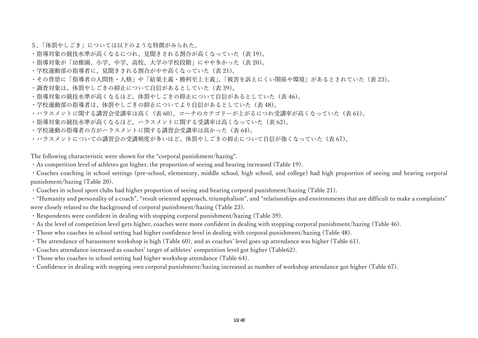- 5.「体罰やしごき」については以下のような特徴がみられた。
- · 指導対象の競技水準が高くなるにつれ、見聞きされる割合が高くなっていた(表 19)。
- ●指導対象が「幼稚園、小学、中学、高校、大学の学校段階」にやや多かった(表 20)。
- ・学校運動部の指導者に、⾒聞きされる割合がやや⾼くなっていた(表 21)。
- ・その背景に「指導者の人間性・人格」や「結果主義・勝利至上主義」、「被害を訴えにくい関係や環境」があるとされていた(表 23)。
- ・調査対象は、体罰やしごきの抑⽌について⾃信があるとしていた(表 39)。
- · 指導対象の競技水準が高くなるほど、体罰やしごきの抑止について自信があるとしていた(表 46)。
- ·学校運動部の指導者は、体罰やしごきの抑止についてより自信があるとしていた(表 48)。
- ・ハラスメントに関する講習会受講率は⾼く(表 60)、コーチのカテゴリーが上がるにつれ受講率が⾼くなっていた(表 61)。
- ·指導対象の競技水準が高くなるほど、ハラスメントに関する受講率は高くなっていた(表 62)。
- ·学校運動の指導者の方がハラスメントに関する講習会受講率は高かった(表 64)。
- ・ハラスメントについての講習会の受講頻度が多いほど、体罰やしごきの抑止について自信が強くなっていた(表 67)。

The following characteristic were shown for the "corporal punishment/hazing".

 $\cdot$  As competition level of athletes got higher, the proportion of seeing and hearing increased (Table 19).

・Coaches coaching in school settings (pre-school, elementary, middle school, high school, and college) had high proportion of seeing and hearing corporal punishment/hazing (Table 20).

- ・Coaches in school sport clubs had higher proportion of seeing and hearing corporal punishment/hazing (Table 21).
- ・"Humanity and personality of a coach", "result oriented approach, triumphalism", and "relationships and environments that are difficult to make a complaints" were closely related to the background of corporal punishment/hazing (Table 23).
- ・Respondents were confident in dealing with stopping corporal punishment/hazing (Table 39).
- ・As the level of competition level gets higher, coaches were more confident in dealing with stopping corporal punishment/hazing (Table 46).
- ・Those who coaches in school setting had higher confidence level in dealing with corporal punishment/hazing (Table 48).
- ・The attendance of harassment workshop is high (Table 60), and as coaches' level goes up attendance was higher (Table 61).
- ・Coaches attendance increased as coaches' target of athletes' competition level got higher (Table62).
- ・Those who coaches in school setting had higher workshop attendance (Table 64).
- ・Confidence in dealing with stopping own corporal punishment/hazing increased as number of workshop attendance got higher (Table 67).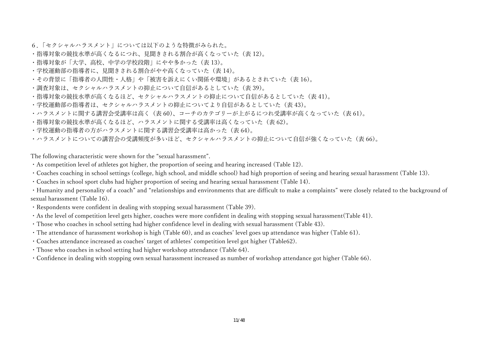- 6.「セクシャルハラスメント」については以下のような特徴がみられた。
- **・指導対象の競技水準が高くなるにつれ、見聞きされる割合が高くなっていた(表 12)。**
- ・指導対象が「大学、高校、中学の学校段階」にやや多かった(表 13)。
- ・学校運動部の指導者に、⾒聞きされる割合がやや⾼くなっていた(表 14)。
- ・その背景に「指導者の人間性・人格」や「被害を訴えにくい関係や環境」があるとされていた(表 16)。
- ·調査対象は、セクシャルハラスメントの抑止について自信があるとしていた(表 39)。
- · 指導対象の競技水準が高くなるほど、セクシャルハラスメントの抑止について自信があるとしていた(表 41)。
- ·学校運動部の指導者は、セクシャルハラスメントの抑止についてより自信があるとしていた(表 43)。
- ・ハラスメントに関する講習会受講率は⾼く(表 60)、コーチのカテゴリーが上がるにつれ受講率が⾼くなっていた(表 61)。
- ·指導対象の競技水準が高くなるほど、ハラスメントに関する受講率は高くなっていた(表 62)。
- ·学校運動の指導者の方がハラスメントに関する講習会受講率は高かった(表 64)。
- ・ハラスメントについての講習会の受講頻度が多いほど、セクシャルハラスメントの抑止について自信が強くなっていた(表 66)。

The following characteristic were shown for the "sexual harassment".

- ・As competition level of athletes got higher, the proportion of seeing and hearing increased (Table 12).
- ・Coaches coaching in school settings (college, high school, and middle school) had high proportion of seeing and hearing sexual harassment (Table 13).
- ・Coaches in school sport clubs had higher proportion of seeing and hearing sexual harassment (Table 14).

・Humanity and personality of a coach" and "relationships and environments that are difficult to make a complaints" were closely related to the background of sexual harassment (Table 16).

- ・Respondents were confident in dealing with stopping sexual harassment (Table 39).
- ・As the level of competition level gets higher, coaches were more confident in dealing with stopping sexual harassment(Table 41).
- ・Those who coaches in school setting had higher confidence level in dealing with sexual harassment (Table 43).
- ・The attendance of harassment workshop is high (Table 60), and as coaches' level goes up attendance was higher (Table 61).
- ・Coaches attendance increased as coaches' target of athletes' competition level got higher (Table62).
- ・Those who coaches in school setting had higher workshop attendance (Table 64).
- ・Confidence in dealing with stopping own sexual harassment increased as number of workshop attendance got higher (Table 66).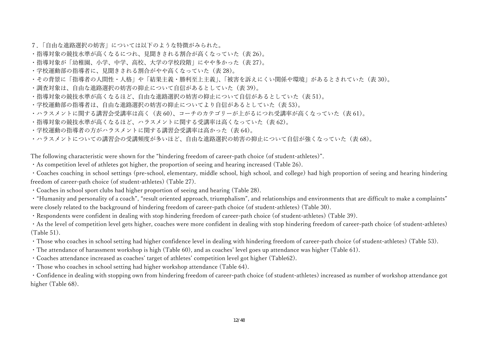- 7.「自由な進路選択の妨害」については以下のような特徴がみられた。
- · 指導対象の競技水準が高くなるにつれ、見聞きされる割合が高くなっていた(表 26)。
- ●指導対象が「幼稚園、小学、中学、高校、大学の学校段階」にやや多かった(表 27)。
- ・学校運動部の指導者に、⾒聞きされる割合がやや⾼くなっていた(表 28)。
- ・その背景に「指導者の人間性・人格」や「結果主義・勝利至上主義」、「被害を訴えにくい関係や環境」があるとされていた(表 30)。
- ·調査対象は、自由な進路選択の妨害の抑止について自信があるとしていた(表 39)。
- · 指導対象の競技水準が高くなるほど、自由な進路選択の妨害の抑止について自信があるとしていた(表 51)。
- ·学校運動部の指導者は、自由な進路選択の妨害の抑止についてより自信があるとしていた(表 53)。
- ・ハラスメントに関する講習会受講率は⾼く(表 60)、コーチのカテゴリーが上がるにつれ受講率が⾼くなっていた(表 61)。
- ·指導対象の競技水準が高くなるほど、ハラスメントに関する受講率は高くなっていた(表 62)。
- ·学校運動の指導者の方がハラスメントに関する講習会受講率は高かった(表 64)。
- ・ハラスメントについての講習会の受講頻度が多いほど、自由な進路選択の妨害の抑止について自信が強くなっていた(表 68)。

The following characteristic were shown for the "hindering freedom of career-path choice (of student-athletes)".

・As competition level of athletes got higher, the proportion of seeing and hearing increased (Table 26).

・Coaches coaching in school settings (pre-school, elementary, middle school, high school, and college) had high proportion of seeing and hearing hindering freedom of career-path choice (of student-athletes) (Table 27).

・Coaches in school sport clubs had higher proportion of seeing and hearing (Table 28).

・"Humanity and personality of a coach", "result oriented approach, triumphalism", and relationships and environments that are difficult to make a complaints" were closely related to the background of hindering freedom of career-path choice (of student-athletes) (Table 30).

・Respondents were confident in dealing with stop hindering freedom of career-path choice (of student-athletes) (Table 39).

・As the level of competition level gets higher, coaches were more confident in dealing with stop hindering freedom of career-path choice (of student-athletes) (Table 51).

・Those who coaches in school setting had higher confidence level in dealing with hindering freedom of career-path choice (of student-athletes) (Table 53).

- ・The attendance of harassment workshop is high (Table 60), and as coaches' level goes up attendance was higher (Table 61).
- ・Coaches attendance increased as coaches' target of athletes' competition level got higher (Table62).

・Those who coaches in school setting had higher workshop attendance (Table 64).

・Confidence in dealing with stopping own from hindering freedom of career-path choice (of student-athletes) increased as number of workshop attendance got higher (Table 68).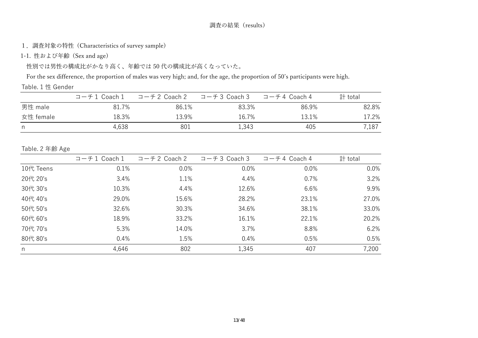# 調査の結果(results)

1.調査対象の特性 (Characteristics of survey sample)

1-1. 性および年齢 (Sex and age)

性別では男性の構成比がかなり高く、年齢では50代の構成比が高くなっていた。

For the sex difference, the proportion of males was very high; and, for the age, the proportion of 50's participants were high.

# Table. 1 性 Gender

|           | コーチ1 Coach1 | コーチ2 Coach 2 | コーチ3 Coach 3 | コーチ4 Coach 4 | 計 total |
|-----------|-------------|--------------|--------------|--------------|---------|
| 男性 male   | 81.7%       | 86.1%        | 83.3%        | 86.9%        | 82.8%   |
| 女性 female | 18.3%       | 13.9%        | 16.7%        | 13.1%        | 17.2%   |
| n.        | 4,638       | 801          | 1,343        | 405          | 7,187   |

### Table. 2 年齢 Age

|           | $\Box$ - $\pm$ 1 Coach 1 | $\Box$ - $\pm$ 2 Coach 2 | コーチ3 Coach 3 | $\Box$ - $\pm$ 4 Coach 4 | 計 total |
|-----------|--------------------------|--------------------------|--------------|--------------------------|---------|
| 10代 Teens | 0.1%                     | 0.0%                     | 0.0%         | 0.0%                     | $0.0\%$ |
| 20代 20's  | 3.4%                     | 1.1%                     | 4.4%         | 0.7%                     | 3.2%    |
| 30代 30's  | 10.3%                    | 4.4%                     | 12.6%        | 6.6%                     | 9.9%    |
| 40代 40's  | 29.0%                    | 15.6%                    | 28.2%        | 23.1%                    | 27.0%   |
| 50代 50's  | 32.6%                    | 30.3%                    | 34.6%        | 38.1%                    | 33.0%   |
| 60代 60's  | 18.9%                    | 33.2%                    | 16.1%        | 22.1%                    | 20.2%   |
| 70代 70's  | 5.3%                     | 14.0%                    | 3.7%         | 8.8%                     | 6.2%    |
| 80代 80's  | 0.4%                     | 1.5%                     | 0.4%         | 0.5%                     | 0.5%    |
| n         | 4,646                    | 802                      | 1,345        | 407                      | 7,200   |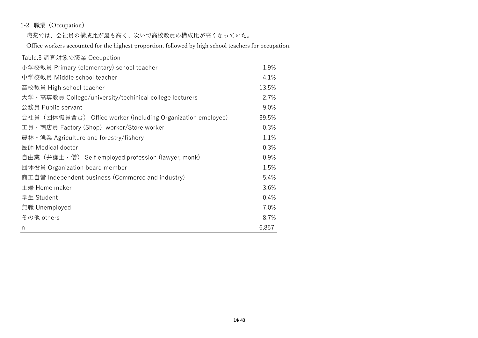# 1-2. 職業 (Occupation)

職業では、会社員の構成比が最も高く、次いで高校教員の構成比が高くなっていた。

Office workers accounted for the highest proportion, followed by high school teachers for occupation.

| Table.3 調査対象の職業 Occupation                                   |       |
|--------------------------------------------------------------|-------|
| 小学校教員 Primary (elementary) school teacher                    | 1.9%  |
| 中学校教員 Middle school teacher                                  | 4.1%  |
| 高校教員 High school teacher                                     | 13.5% |
| 大学・高専教員 College/university/techinical college lecturers      | 2.7%  |
| 公務員 Public servant                                           | 9.0%  |
| 会社員 (団体職員含む) Office worker (including Organization employee) | 39.5% |
| 工員 · 商店員 Factory (Shop) worker/Store worker                  | 0.3%  |
| 農林 · 漁業 Agriculture and forestry/fishery                     | 1.1%  |
| 医師 Medical doctor                                            | 0.3%  |
| 自由業 (弁護士 · 僧) Self employed profession (lawyer, monk)        | 0.9%  |
| 団体役員 Organization board member                               | 1.5%  |
| 商工自営 Independent business (Commerce and industry)            | 5.4%  |
| 主婦 Home maker                                                | 3.6%  |
| 学生 Student                                                   | 0.4%  |
| 無職 Unemployed                                                | 7.0%  |
| その他 others                                                   | 8.7%  |
| n                                                            | 6,857 |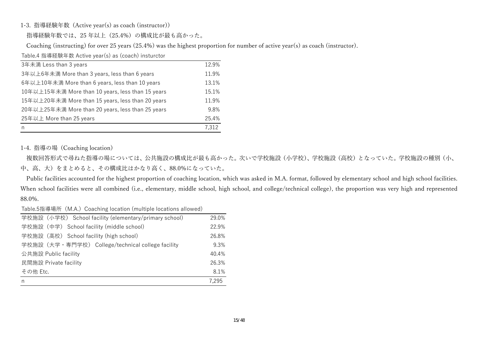### 1-3. 指導経験年数 (Active year(s) as coach (instructor))

指導経験年数では、25 年以上(25.4%)の構成⽐が最も⾼かった。

Coaching (instructing) for over 25 years (25.4%) was the highest proportion for number of active year(s) as coach (instructor).

Table.4 指導経験年数 Active year(s) as (coach) insturctor

| 3年未満 Less than 3 years                            | 12.9% |
|---------------------------------------------------|-------|
| 3年以上6年未満 More than 3 years, less than 6 years     | 11.9% |
| 6年以上10年未満 More than 6 years, less than 10 years   | 13.1% |
| 10年以上15年未満 More than 10 years, less than 15 years | 15.1% |
| 15年以上20年未満 More than 15 years, less than 20 years | 11.9% |
| 20年以上25年未満 More than 20 years, less than 25 years | 9.8%  |
| 25年以上 More than 25 years                          | 25.4% |
| n                                                 | 7.312 |

### 1-4. 指導の場 (Coaching location)

複数回答形式で尋ねた指導の場については、公共施設の構成比が最も高かった。次いで学校施設(小学校)、学校施設(高校)となっていた。学校施設の種別(小、 中、高、大)をまとめると、その構成比はかなり高く、88.0%になっていた。

Public facilities accounted for the highest proportion of coaching location, which was asked in M.A. format, followed by elementary school and high school facilities. When school facilities were all combined (i.e., elementary, middle school, high school, and college/technical college), the proportion was very high and represented 88.0%.

Table.5指導場所(M.A.)Coaching location (multiple locations allowed)

| 学校施設 (小学校) School facility (elementary/primary school) | 29.0% |
|--------------------------------------------------------|-------|
| 学校施設 (中学) School facility (middle school)              | 22.9% |
| 学校施設 (高校) School facility (high school)                | 26.8% |
| 学校施設(大学・専門学校) College/technical college facility       | 9.3%  |
| 公共施設 Public facility                                   |       |
| 民間施設 Private facility                                  | 26.3% |
| その他 Etc.                                               | 8.1%  |
| n                                                      | 7.295 |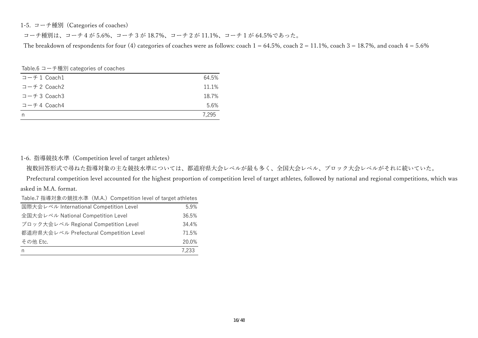1-5. コーチ種別 (Categories of coaches)

コーチ種別は、コーチ4が 5.6%、コーチ 3 が 18.7%、コーチ2が 11.1%、コーチ1が 64.5%であった。

The breakdown of respondents for four (4) categories of coaches were as follows: coach  $1 = 64.5\%$ , coach  $2 = 11.1\%$ , coach  $3 = 18.7\%$ , and coach  $4 = 5.6\%$ 

Table.6 コーチ種別 categories of coaches

| コーチ1 Coach1 | 64.5% |
|-------------|-------|
| コーチ2 Coach2 | 11.1% |
| コーチ3 Coach3 | 18.7% |
| コーチ4 Coach4 | 5.6%  |
|             | 7.295 |

### 1-6. 指導競技⽔準 (Competition level of target athletes)

複数回答形式で尋ねた指導対象の主な競技⽔準については、都道府県⼤会レベルが最も多く、全国⼤会レベル、ブロック⼤会レベルがそれに続いていた。

Prefectural competition level accounted for the highest proportion of competition level of target athletes, followed by national and regional competitions, which was asked in M.A. format.

| Table.7 指導対象の競技水準 (M.A.) Competition level of target athletes |       |
|---------------------------------------------------------------|-------|
| 国際大会レベル International Competition Level                       | 5.9%  |
| 全国大会レベル National Competition Level                            | 36.5% |
| ブロック大会レベル Regional Competition Level                          | 34.4% |
| 都道府県大会レベル Prefectural Competition Level                       | 71.5% |
| その他 Etc.                                                      | 20.0% |
| n                                                             | 7.233 |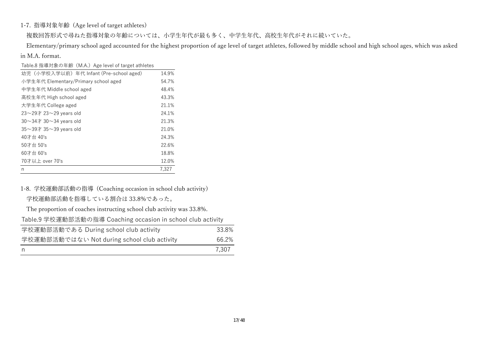## 1-7. 指導対象年齢 (Age level of target athletes)

複数回答形式で尋ねた指導対象の年齢については、⼩学⽣年代が最も多く、中学⽣年代、⾼校⽣年代がそれに続いていた。

 Elementary/primary school aged accounted for the highest proportion of age level of target athletes, followed by middle school and high school ages, which was asked in M.A. format.

| Table.8 指導対象の年齢 (M.A.) Age level of target athletes |       |
|-----------------------------------------------------|-------|
| 幼児 (小学校入学以前) 年代 Infant (Pre-school aged)            | 14.9% |
| 小学生年代 Elementary/Primary school aged                | 54.7% |
| 中学生年代 Middle school aged                            | 48.4% |
| 高校生年代 High school aged                              | 43.3% |
| 大学生年代 College aged                                  | 21.1% |
| $23\sim$ 29才 23 $\sim$ 29 years old                 | 24.1% |
| 30 $\sim$ 34 $\pm$ 30 $\sim$ 34 vears old           | 21.3% |
| $35\sim$ 39才 35 $\sim$ 39 years old                 | 21.0% |
| 40才台 40's                                           | 24.3% |
| 50才台 50's                                           | 22.6% |
| 60才台 60's                                           | 18.8% |
| 70才以上 over 70's                                     | 12.0% |
| n                                                   | 7,327 |

1-8. 学校運動部活動の指導 (Coaching occasion in school club activity) 学校運動部活動を指導している割合は 33.8%であった。

| The proportion of coaches instructing school club activity was 33.8%. |       |
|-----------------------------------------------------------------------|-------|
| Table.9 学校運動部活動の指導 Coaching occasion in school club activity          |       |
| 学校運動部活動である During school club activity                                | 33.8% |
| 学校運動部活動ではない Not during school club activity                           | 66.2% |
| n                                                                     | 7,307 |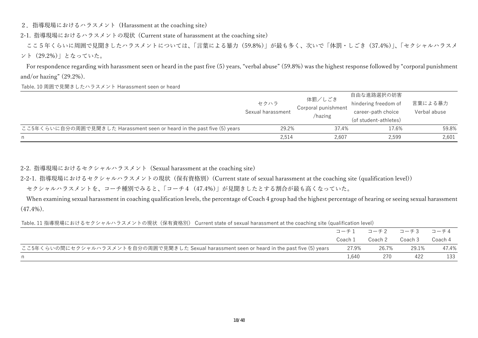2.指導現場におけるハラスメント (Harassment at the coaching site)

2-1. 指導現場におけるハラスメントの現状 (Current state of harassment at the coaching site)

ここ5年くらいに周囲で見聞きしたハラスメントについては、「言葉による暴力(59.8%)」が最も多く、次いで「体罰・しごき (37.4%)」、「セクシャルハラスメ ント(29.2%)」となっていた。

 For respondence regarding with harassment seen or heard in the past five (5) years, "verbal abuse" (59.8%) was the highest response followed by "corporal punishment and/or hazing" (29.2%).

Table. 10 周囲で見聞きしたハラスメント Harassment seen or heard

|                                                                         | セクハラ<br>Sexual harassment | 体罰/しごき<br>Corporal punishment<br>/hazing | 自由な進路選択の妨害<br>hindering freedom of<br>career-path choice<br>(of student-athletes) | 言葉による暴力<br>Verbal abuse |
|-------------------------------------------------------------------------|---------------------------|------------------------------------------|-----------------------------------------------------------------------------------|-------------------------|
| ここ5年くらいに自分の周囲で見聞きした Harassment seen or heard in the past five (5) years | 29.2%                     | 37.4%                                    | 17.6%                                                                             | 59.8%                   |
| n                                                                       | 2,514                     | 2.607                                    | 2.599                                                                             | 2,601                   |

2-2. 指導現場におけるセクシャルハラスメント (Sexual harassment at the coaching site)

2-2-1. 指導現場におけるセクシャルハラスメントの現状(保有資格別)(Current state of sexual harassment at the coaching site (qualification level))

セクシャルハラスメントを、コーチ種別でみると、「コーチ4 (47.4%)」が見聞きしたとする割合が最も高くなっていた。

 When examining sexual harassment in coaching qualification levels, the percentage of Coach 4 group had the highest percentage of hearing or seeing sexual harassment (47.4%).

Table. 11 指導現場におけるセクシャルハラスメントの現状(保有資格別) Current state of sexual harassment at the coaching site (qualification level)

|                                                                                              | コーチ1    | コーチ2 コーチ3 |         | コーチ4    |
|----------------------------------------------------------------------------------------------|---------|-----------|---------|---------|
|                                                                                              | Coach 1 | Coach 2   | Coach 3 | Coach 4 |
| ここ5年くらいの間にセクシャルハラスメントを自分の周囲で見聞きした Sexual harassment seen or heard in the past five (5) years | 27.9%   | 26.7%     | 29.1%   | 47.4%   |
| n.                                                                                           | 1.640   | 270       | 422     | 133     |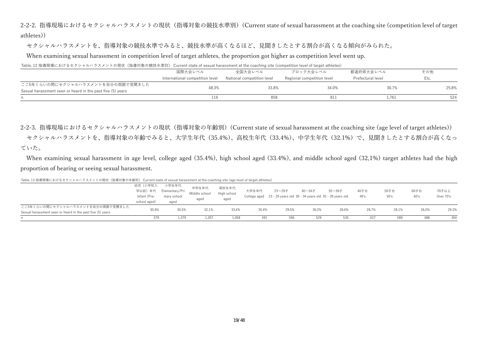2-2-2. 指導現場におけるセクシャルハラスメントの現状 (指導対象の競技水準別) (Current state of sexual harassment at the coaching site (competition level of target athletes))

セクシャルハラスメントを、指導対象の競技水準でみると、競技水準が高くなるほど、見聞きしたとする割合が高くなる傾向がみられた。

When examining sexual harassment in competition level of target athletes, the proportion got higher as competition level went up.

Table. 12 指導現場におけるセクシャルハラスメントの現状(指導対象の競技水準別) Current state of sexual harassment at the coaching site (competition level of target athletes)

|                                                            | 国際大会レベル                         | 全国大会レベル                    | ブロック大会レベル                  | 都道府県大会レベル         | その他   |
|------------------------------------------------------------|---------------------------------|----------------------------|----------------------------|-------------------|-------|
|                                                            | International competition level | National competition level | Regional competition level | Prefectural level | Etc.  |
| ここ5年くらいの間にセクシャルハラスメントを自分の周囲で見聞きした                          |                                 |                            |                            |                   |       |
| Sexual harassment seen or heard in the past five (5) years | 48.3%                           | 33.8%                      | 34.0%                      | 30.7%             | 25.8% |
|                                                            |                                 | 858                        | -811                       | 1,761             | 524   |

2-2-3. 指導現場におけるセクシャルハラスメントの現状(指導対象の年齢別)(Current state of sexual harassment at the coaching site (age level of target athletes)) セクシャルハラスメントを、指導対象の年齢でみると、大学生年代(35.4%)、高校生年代(33.4%)、中学生年代(32.1%)で、見聞きしたとする割合が高くなっ ていた。

 When examining sexual harassment in age level, college aged (35.4%), high school aged (33.4%), and middle school aged (32,1%) target athletes had the high proportion of hearing or seeing sexual harassment.

| n.                                                                                                                                  | 379          | 1.379                  | 1.207         | 1.058       | 491   | 596                                                                | 529        | 535        | 627   | 580   | 488   | 304       |
|-------------------------------------------------------------------------------------------------------------------------------------|--------------|------------------------|---------------|-------------|-------|--------------------------------------------------------------------|------------|------------|-------|-------|-------|-----------|
| Sexual harassment seen or heard in the past five (5) years                                                                          |              |                        |               |             |       |                                                                    |            |            |       |       |       |           |
| ここ5年くらいの間にセクシャルハラスメントを自分の周囲で見聞きした                                                                                                   | 30.9%        | 30.5%                  | 32.1%         | 33.4%       | 35.4% | 29.5%                                                              | 30.2%      | 28.6%      | 28.7% | 28.1% | 26.0% | 29.3%     |
|                                                                                                                                     | school aged) | aged                   |               |             |       |                                                                    |            |            |       |       |       |           |
|                                                                                                                                     | Infant (Pre- | mary school            | aged          | aged        |       | College aged 23 - 29 years old 30 - 34 years old 35 - 39 years old |            |            | 40's  | 50's  | 60's  | Over 70's |
|                                                                                                                                     |              | 学以前) 年代 Elementary/Pri | Middle school | High school | 大学生年代 | 23~29 <sup><math>\pm</math></sup>                                  | $30 - 347$ | $35 - 397$ | 40才台  | 50才台  | 60才台  | 70才以上     |
|                                                                                                                                     | 幼児(小学校入      | 小学生年代                  | 中学生年代         | 高校生年代       |       |                                                                    |            |            |       |       |       |           |
| - Table. 13 指導現場におけるセクシャルハラスメントの規状(指導対象の年齢別) Current state of sexual harassment at the coaching site (age level of target athletes) |              |                        |               |             |       |                                                                    |            |            |       |       |       |           |

Table. 13 指導現場におけるセクシャルハラスメントの現状(指導対象の年齢別) Current state of sexual harassment at the coaching site (age level of target athletes)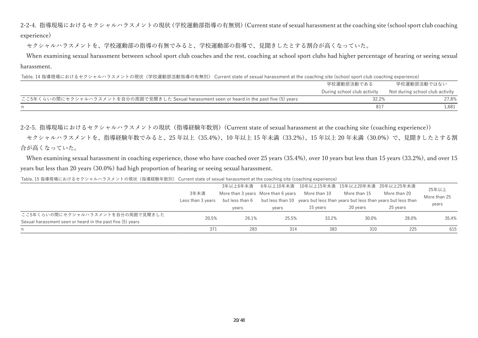2-2-4. 指導現場におけるセクシャルハラスメントの現状(学校運動部指導の有無別)(Current state of sexual harassment at the coaching site (school sport club coaching experience)

セクシャルハラスメントを、学校運動部の指導の有無でみると、学校運動部の指導で、見聞きしたとする割合が高くなっていた。

When examining sexual harassment between school sport club coaches and the rest, coaching at school sport clubs had higher percentage of hearing or seeing sexual harassment.

Table. 14 指導現場におけるセクシャルハラスメントの現状(学校運動部活動指導の有無別) Current state of sexual harassment at the coaching site (school sport club coaching experience)

|                                                                                              | 学校運動部活動である                  | 学校運動部活動ではない                     |
|----------------------------------------------------------------------------------------------|-----------------------------|---------------------------------|
|                                                                                              | During school club activity | Not during school club activity |
| ここ5年くらいの間にセクシャルハラスメントを自分の周囲で見聞きした Sexual harassment seen or heard in the past five (5) years | 32.2%                       | 27.8%                           |
|                                                                                              |                             | .,681                           |

2-2-5. 指導現場におけるセクシャルハラスメントの現状(指導経験年数別)(Current state of sexual harassment at the coaching site (coaching experience))

セクシャルハラスメントを、指導経験年数でみると、25 年以上(35.4%)、10 年以上 15 年未満(33.2%)、15 年以上 20 年未満(30.0%)で、見聞きしたとする割 合が⾼くなっていた。

 When examining sexual harassment in coaching experience, those who have coached over 25 years (35.4%), over 10 years but less than 15 years (33.2%), and over 15 years but less than 20 years (30.0%) had high proportion of hearing or seeing sexual harassment.

Table. 15 指導現場におけるセクシャルハラスメントの現状(指導経験年数別) Current state of sexual harassment at the coaching site (coaching experience)

|      | 3年以上6年未満        |                            |              |                                                     |                              | 25年以上                                                                                                                                               |
|------|-----------------|----------------------------|--------------|-----------------------------------------------------|------------------------------|-----------------------------------------------------------------------------------------------------------------------------------------------------|
| 3年未満 |                 |                            |              | More than 15                                        | More than 20                 | More than 25                                                                                                                                        |
|      | but less than 6 |                            |              |                                                     |                              |                                                                                                                                                     |
|      | years           | years                      | 15 vears     | 20 vears                                            | 25 years                     | years                                                                                                                                               |
|      |                 |                            |              |                                                     |                              |                                                                                                                                                     |
|      |                 |                            |              |                                                     |                              | 35.4%                                                                                                                                               |
| 371  |                 |                            |              |                                                     | 225                          | 615                                                                                                                                                 |
|      |                 | Less than 3 vears<br>20.5% | 26.1%<br>283 | More than 3 years More than 6 years<br>25.5%<br>314 | More than 10<br>33.2%<br>383 | 6年以上10年未満 10年以上15年未満 15年以上20年未満 20年以上25年未満<br>but less than 10 years but less than years but less than years but less than<br>28.0%<br>30.0%<br>310 |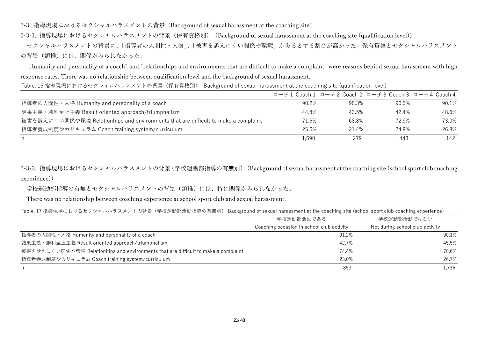2-3. 指導現場におけるセクシャルハラスメントの背景 (Background of sexual harassment at the coaching site)

2-3-1. 指導現場におけるセクシャルハラスメントの背景(保有資格別) (Background of sexual harassment at the coaching site (qualification level))

セクシャルハラスメントの背景に、「指導者の人間性・人格」、「被害を訴えにくい関係や環境」があるとする割合が高かった。保有資格とセクシャルハラスメント の背景(類推)には、関係がみられなかった。

 "Humanity and personality of a coach" and "relationships and environments that are difficult to make a complaint" were reasons behind sexual harassment with high response rates. There was no relationship between qualification level and the background of sexual harassment.

|                                                                                    | コーチ1 Coach1 コーチ2 Coach2 コーチ3 Coach3 コーチ4 Coach4 |       |       |       |
|------------------------------------------------------------------------------------|-------------------------------------------------|-------|-------|-------|
| 指導者の人間性・人格 Humanity and personality of a coach                                     | 90.2%                                           | 90.3% | 90.5% | 90.1% |
| 結果主義・勝利至上主義 Result oriented approach/triumphalism                                  | 44.8%                                           | 43.5% | 42.4% | 48.6% |
| 被害を訴えにくい関係や環境 Relationhips and environments that are difficult to make a complaint | 71.6%                                           | 68.8% | 72.9% | 73.0% |
| 指導者養成制度やカリキュラム Coach training system/curriculum                                    | 25.6%                                           | 21.4% | 24.9% | 26.8% |
| n.                                                                                 | 1.690                                           | 279   | 443   | 142   |

Table. 16 指導現場におけるセクシャルハラスメントの背景(保有資格別) Background of sexual harassment at the coaching site (qualification level)

2-3-2. 指導現場におけるセクシャルハラスメントの背景(学校運動部指導の有無別) (Background of sexual harassment at the coaching site (school sport club coaching experience))

学校運動部指導の有無とセクシャルハラスメントの背景(類推)には、特に関係がみられなかった。

There was no relationship between coaching experience at school sport club and sexual harassment.

Table. 17 指導現場におけるセクシャルハラスメントの背景(学校運動部活動指導の有無別) Background of sexual harassment at the coaching site (school sport club coaching experience)

|                                                                                    | 学校運動部活動である                                | 学校運動部活動ではない                     |
|------------------------------------------------------------------------------------|-------------------------------------------|---------------------------------|
|                                                                                    | Coaching occasion in school club activity | Not during school club activity |
| 指導者の人間性・人格 Humanity and personality of a coach                                     | 91.2%                                     | 90.1%                           |
| 結果主義 · 勝利至上主義 Result oriented approach/triumphalism                                | 42.7%                                     | 45.5%                           |
| 被害を訴えにくい関係や環境 Relationhips and environments that are difficult to make a complaint | 74.4%                                     | 70.6%                           |
| 指導者養成制度やカリキュラム Coach training system/curriculum                                    | 23.0%                                     | 26.7%                           |
| n                                                                                  | 853                                       | 1.736                           |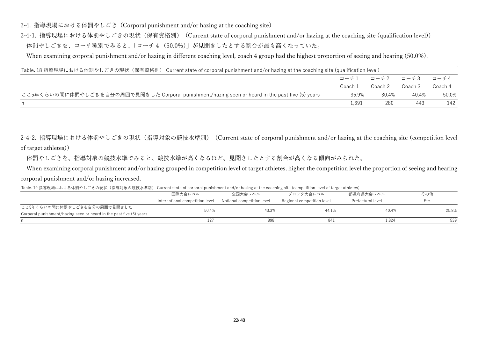2-4. 指導現場における体罰やしごき (Corporal punishment and/or hazing at the coaching site)

2-4-1. 指導現場における体罰やしごきの現状(保有資格別) (Current state of corporal punishment and/or hazing at the coaching site (qualification level)) 体罰やしごきを、コーチ種別でみると、「コーチ4 (50.0%)」が見聞きしたとする割合が最も高くなっていた。

When examining corporal punishment and/or hazing in different coaching level, coach 4 group had the highest proportion of seeing and hearing (50.0%).

Table. 18 指導現場における体罰やしごきの現状(保有資格別) Current state of corporal punishment and/or hazing at the coaching site (qualification level)

|                                                                                                  |         |                         | コーチ1 コーチ2 コーチ3 | コーチ4    |
|--------------------------------------------------------------------------------------------------|---------|-------------------------|----------------|---------|
|                                                                                                  | Coach 1 | Coach 2         Coach 3 |                | Coach 4 |
| ここ5年くらいの間に体罰やしごきを自分の周囲で見聞きした Corporal punishment/hazing seen or heard in the past five (5) years | 36.9%   | 30.4%                   | 40.4%          | 50.0%   |
| n                                                                                                | L.691   | 280                     | 443            | 142     |

2-4-2. 指導現場における体罰やしごきの現状 (指導対象の競技水準別) (Current state of corporal punishment and/or hazing at the coaching site (competition level of target athletes))

体罰やしごきを、指導対象の競技水準でみると、競技水準が高くなるほど、見聞きしたとする割合が高くなる傾向がみられた。

When examining corporal punishment and/or hazing grouped in competition level of target athletes, higher the competition level the proportion of seeing and hearing corporal punishment and/or hazing increased.

その他

| Table. 19 指導現場における体罰やしごきの現状(指導対象の競技水準別) Current state of corporal punishment and/or hazing at the coaching site (competition level of target athletes) |        |       |       |        |  |
|--------------------------------------------------------------------------------------------------------------------------------------------------------|--------|-------|-------|--------|--|
|                                                                                                                                                        | 国際大会レイ | 今日十个」 | ノハ云レ゛ | 都道府県大会 |  |

|                                                                     | International competition level National competition level | Regional competition level | Prefectural level |       |
|---------------------------------------------------------------------|------------------------------------------------------------|----------------------------|-------------------|-------|
| ここ5年くらいの間に体罰やしごきを自分の周囲で見聞きした                                        | 50.4%                                                      |                            | 40.4%             | 25.8% |
| Corporal punishment/hazing seen or heard in the past five (5) years |                                                            |                            |                   |       |
|                                                                     | 12                                                         |                            | 1.824             | 539   |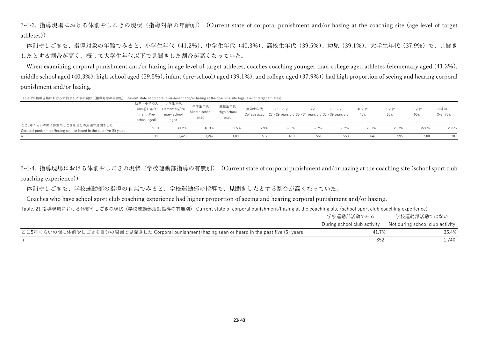2-4-3. 指導現場における体罰やしごきの現状(指導対象の年齢別) (Current state of corporal punishment and/or hazing at the coaching site (age level of target athletes))

体罰やしごきを、指導対象の年齢でみると、小学生年代(41.2%)、中学生年代(40.3%)、高校生年代(39.5%)、幼児(39.1%)、大学生年代(37.9%)で、見聞き したとする割合が高く、概して大学生年代以下で見聞きした割合が高くなっていた。

When examining corporal punishment and/or hazing in age level of target athletes, coaches coaching younger than college aged athletes (elementary aged (41.2%), middle school aged (40.3%), high school aged (39.5%), infant (pre-school) aged (39.1%), and college aged (37.9%)) had high proportion of seeing and hearing corporal punishment and/or hazing.

Table. 20 指導現場における体罰やしごきの現状(指導対象の年齢別) Current state of corporal punishment and/or hazing at the coaching site (age level of target athletes)

|                                                                     | 386          | 1.423                 | 1,247         | 1.099       | 512   | 619                                                                | 551        | 553        | 647   | 595   | 500   | 307       |
|---------------------------------------------------------------------|--------------|-----------------------|---------------|-------------|-------|--------------------------------------------------------------------|------------|------------|-------|-------|-------|-----------|
| Corporal punishment/hazing seen or heard in the past five (5) years |              |                       |               |             |       |                                                                    |            |            |       |       |       |           |
| ここ5年くらいの間に体罰やしごきを自分の周囲で見聞きした                                        | 39.1%        | 41.2%                 | 40.3%         | 39.5%       | 37.9% | 32.1%                                                              | 32.7%      | 30.2%      | 29.1% | 25.7% | 22.8% | 23.5%     |
|                                                                     | school aged) | aged                  |               |             |       |                                                                    |            |            |       |       |       |           |
|                                                                     | Infant (Pre- | mary school           | aged          | aged        |       | College aged 23 - 29 years old 30 - 34 years old 35 - 39 years old |            |            | 40's  | 50's  | 60's  | Over 70's |
|                                                                     |              | 学以前)年代 Elementary/Pri | Middle school | High school | 大学生年代 | 23~29 <sup><math>\pm</math></sup>                                  | $30 - 347$ | $35 - 397$ | 40才台  | 50才台  | 60才台  | 70才以上     |
|                                                                     | 幼児(小学校入      | 小学生年代                 | 中学生年代         | 高校生年代       |       |                                                                    |            |            |       |       |       |           |

2-4-4. 指導現場における体罰やしごきの現状(学校運動部指導の有無別) (Current state of corporal punishment and/or hazing at the coaching site (school sport club coaching experience))

体罰やしごきを、学校運動部の指導の有無でみると、学校運動部の指導で、見聞きしたとする割合が高くなっていた。

Coaches who have school sport club coaching experience had higher proportion of seeing and hearing corporal punishment and/or hazing.

Table. 21 指導現場における体罰やしごきの現状(学校運動部活動指導の有無別) Current state of corporal punishment/hazing at the coaching site (school sport club coaching experience)

|                                                                                                  | 学校運動部活動である                  | 学校運動部活動ではない                     |
|--------------------------------------------------------------------------------------------------|-----------------------------|---------------------------------|
|                                                                                                  | During school club activity | Not during school club activity |
| ここ5年くらいの間に体罰やしごきを自分の周囲で見聞きした Corporal punishment/hazing seen or heard in the past five (5) years | 41.7%                       | 35.4%                           |
|                                                                                                  | 852                         | 1.740                           |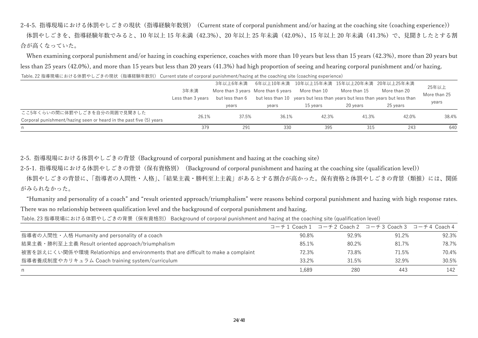2-4-5. 指導現場における体罰やしごきの現状(指導経験年数別) (Current state of corporal punishment and/or hazing at the coaching site (coaching experience)) 体罰やしごきを、指導経験年数でみると、10年以上 15 年未満 (42.3%)、20 年以上 25 年未満 (42.0%)、15 年以上 20 年未満 (41.3%) で、見聞きしたとする割 合が⾼くなっていた。

When examining corporal punishment and/or hazing in coaching experience, coaches with more than 10 years but less than 15 years (42.3%), more than 20 years but less than 25 years (42.0%), and more than 15 years but less than 20 years (41.3%) had high proportion of seeing and hearing corporal punishment and/or hazing. Table. 22 指導現場における体罰やしごきの現状(指導経験年数別) Current state of corporal punishment/hazing at the coaching site (coaching experience)

|                                                                     |                   | 3年以上6年未満        |                                     | 6年以上10年未満 10年以上15年未満 15年以上20年未満 20年以上25年未満 |              |                                                                              | 25年以上        |
|---------------------------------------------------------------------|-------------------|-----------------|-------------------------------------|--------------------------------------------|--------------|------------------------------------------------------------------------------|--------------|
|                                                                     | 3年未満              |                 | More than 3 years More than 6 years | More than 10                               | More than 15 | More than 20                                                                 | More than 25 |
|                                                                     | Less than 3 years | but less than 6 |                                     |                                            |              | but less than 10 years but less than years but less than years but less than |              |
|                                                                     |                   | years           | vears                               | 15 vears                                   | 20 vears     | 25 vears                                                                     | years        |
| ここ5年くらいの間に体罰やしごきを自分の周囲で見聞きした                                        | 26.1%             | 37.5%           | 36.1%                               |                                            |              |                                                                              | 38.4%        |
| Corporal punishment/hazing seen or heard in the past five (5) years |                   |                 |                                     | 42.3%                                      | 41.3%        | 42.0%                                                                        |              |
| n.                                                                  | 379               | 291             | 330                                 | 395                                        | 315          | 243                                                                          | 640          |

2-5. 指導現場における体罰やしごきの背景 (Background of corporal punishment and hazing at the coaching site)

2-5-1. 指導現場における体罰やしごきの背景(保有資格別) (Background of corporal punishment and hazing at the coaching site (qualification level))

体罰やしごきの背景に、「指導者の人間性・人格」、「結果主義・勝利至上主義」があるとする割合が高かった。保有資格と体罰やしごきの背景(類推)には、関係 がみられなかった。

"Humanity and personality of a coach" and "result oriented approach/triumphalism" were reasons behind corporal punishment and hazing with high response rates. There was no relationship between qualification level and the background of corporal punishment and hazing.

Table. 23 指導現場における体罰やしごきの背景(保有資格別) Background of corporal punishment and hazing at the coaching site (qualification level)

|                                                                                    |       |       | コーチ1 Coach1 コーチ2 Coach2 コーチ3 Coach3 コーチ4 Coach4 |       |
|------------------------------------------------------------------------------------|-------|-------|-------------------------------------------------|-------|
| 指導者の人間性・人格 Humanity and personality of a coach                                     | 90.8% | 92.9% | 91.2%                                           | 92.3% |
| 結果主義・勝利至上主義 Result oriented approach/triumphalism                                  | 85.1% | 80.2% | 81.7%                                           | 78.7% |
| 被害を訴えにくい関係や環境 Relationhips and environments that are difficult to make a complaint | 72.3% | 73.8% | 71.5%                                           | 70.4% |
| 指導者養成制度やカリキュラム Coach training system/curriculum                                    | 33.2% | 31.5% | 32.9%                                           | 30.5% |
| n                                                                                  | 1.689 | 280   | 443                                             | 142   |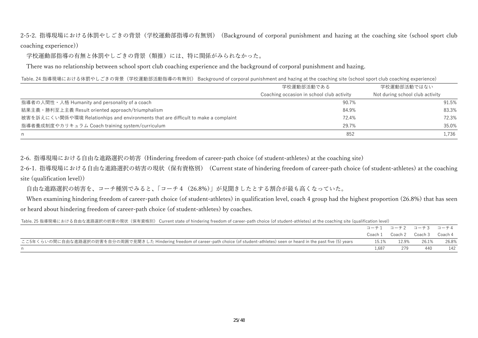2-5-2. 指導現場における体罰やしごきの背景(学校運動部指導の有無別) (Background of corporal punishment and hazing at the coaching site (school sport club coaching experience))

学校運動部指導の有無と体罰やしごきの背景(類推)には、特に関係がみられなかった。

There was no relationship between school sport club coaching experience and the background of corporal punishment and hazing.

#### Table. 24 指導現場における体罰やしごきの背景(学校運動部活動指導の有無別) Background of corporal punishment and hazing at the coaching site (school sport club coaching experience)

|                                                                                    | 学校運動部活動である                                | 学校運動部活動ではない                     |
|------------------------------------------------------------------------------------|-------------------------------------------|---------------------------------|
|                                                                                    | Coaching occasion in school club activity | Not during school club activity |
| 指導者の人間性・人格 Humanity and personality of a coach                                     | 90.7%                                     | 91.5%                           |
| 結果主義 · 勝利至上主義 Result oriented approach/triumphalism                                | 84.9%                                     | 83.3%                           |
| 被害を訴えにくい関係や環境 Relationhips and environments that are difficult to make a complaint | 72.4%                                     | 72.3%                           |
| 指導者養成制度やカリキュラム Coach training system/curriculum                                    | 29.7%                                     | 35.0%                           |
| n                                                                                  | 852                                       | 1.736                           |

2-6. 指導現場における⾃由な進路選択の妨害 (Hindering freedom of career-path choice (of student-athletes) at the coaching site)

2-6-1. 指導現場における⾃由な進路選択の妨害の現状(保有資格別) (Current state of hindering freedom of career-path choice (of student-athletes) at the coaching site (qualification level))

自由な進路選択の妨害を、コーチ種別でみると、「コーチ4 (26.8%)」が見聞きしたとする割合が最も高くなっていた。

 When examining hindering freedom of career-path choice (of student-athletes) in qualification level, coach 4 group had the highest proportion (26.8%) that has seen or heard about hindering freedom of career-path choice (of student-athletes) by coaches.

Table. 25 指導現場における自由な進路選択の妨害の現状(保有資格別) Current state of hindering freedom of career-path choice (of student-athletes) at the coaching site (qualification level)

|                                                                                                                                         | コーチ1 コーチ2 コーチ3 コーチ4 |       |                                 |       |
|-----------------------------------------------------------------------------------------------------------------------------------------|---------------------|-------|---------------------------------|-------|
|                                                                                                                                         |                     |       | Coach 1 Coach 2 Coach 3 Coach 4 |       |
| ここ5年くらいの間に自由な進路選択の妨害を自分の周囲で見聞きした Hindering freedom of career-path choice (of student-athletes) seen or heard in the past five (5) years | 15.1%               | 12.9% | 26.1%                           | 26.8% |
|                                                                                                                                         | 1687                |       | 440                             | 142   |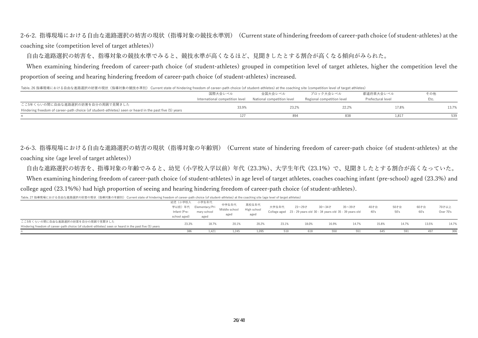2-6-2. 指導現場における自由な進路選択の妨害の現状(指導対象の競技水準別) (Current state of hindering freedom of career-path choice (of student-athletes) at the coaching site (competition level of target athletes))

自由な進路選択の妨害を、指導対象の競技水準でみると、競技水準が高くなるほど、見聞きしたとする割合が高くなる傾向がみられた。

 When examining hindering freedom of career-path choice (of student-athletes) grouped in competition level of target athletes, higher the competition level the proportion of seeing and hearing hindering freedom of career-path choice (of student-athletes) increased.

Table. 26 指導現場における自由な進路選択の妨害の現状(指導対象の競技水準別) Current state of hindering freedom of career-path choice (of student-athletes) at the coaching site (competition level of target athletes)

|                                                                                                        | 国際大会レベル                         | 全国大会レベル                    | ブロック大会レベル                  | 都道府県大会レベル           | その他   |
|--------------------------------------------------------------------------------------------------------|---------------------------------|----------------------------|----------------------------|---------------------|-------|
|                                                                                                        | International competition level | National competition level | Regional competition level | Prefectural level   | Etc.  |
| ここ5年くらいの間に自由な進路選択の妨害を自分の周囲で見聞きした                                                                       | 33.9%                           | 23.2%                      | 22.2%                      | 17.8%               | 13.7% |
| Hindering freedom of career-path choice (of student-athletes) seen or heard in the past five (5) years |                                 |                            |                            |                     |       |
|                                                                                                        | 127                             |                            | 838                        | $1.81$ <sup>-</sup> | 539   |

2-6-3. 指導現場における⾃由な進路選択の妨害の現状(指導対象の年齢別) (Current state of hindering freedom of career-path choice (of student-athletes) at the coaching site (age level of target athletes))

自由な進路選択の妨害を、指導対象の年齢でみると、幼児(小学校入学以前)年代(23.3%)、大学生年代(23.1%)で、見聞きしたとする割合が高くなっていた。

When examining hindering freedom of career-path choice (of student-athletes) in age level of target athletes, coaches coaching infant (pre-school) aged (23.3%) and college aged (23.1%%) had high proportion of seeing and hearing hindering freedom of career-path choice (of student-athletes).

Table. 27 指導現場における自由な進路選択の妨害の現状(指導対象の年齢別) Current state of hindering freedom of career-path choice (of student-athletes) at the coaching site (age level of target athletes)

|                                                                                                        | 幼児(小学校入<br>Infant (Pre-<br>school aged) | 小学生年代<br>学以前)年代 Elementary/Pri<br>mary school<br>aged | 中学生年代<br>Middle school<br>aged | 高校生年代<br>High school<br>aged | 大学生年代 | 23~29才<br>College aged 23 - 29 years old 30 - 34 years old 35 - 39 years old | $30 - 347$ | 35~39才 | 40才台<br>40's | 50才台<br>50's | 60才台<br>60's | 70才以上<br>Over 70's |
|--------------------------------------------------------------------------------------------------------|-----------------------------------------|-------------------------------------------------------|--------------------------------|------------------------------|-------|------------------------------------------------------------------------------|------------|--------|--------------|--------------|--------------|--------------------|
| ここ5年くらいの間に自由な進路選択の妨害を自分の周囲で見聞きした                                                                       |                                         |                                                       |                                |                              |       |                                                                              |            |        |              | 14.7%        |              | 14.7%              |
| Hindering freedom of career-path choice (of student-athletes) seen or heard in the past five (5) years | 23.3%                                   | 18.7%                                                 | 20.1%                          | 20.2%                        | 23.1% | 18.0%                                                                        | 16.9%      | 14.7%  | 15.8%        |              | 13.5%        |                    |
|                                                                                                        | 386                                     | 1.42                                                  | 1.245                          | 1.095                        | 510   | 618                                                                          | 550        | 551    | 645          | 591          | 497          | 306                |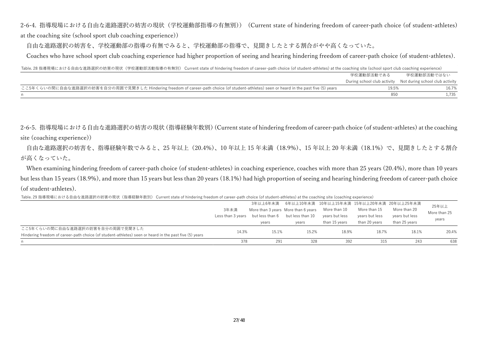2-6-4. 指導現場における⾃由な進路選択の妨害の現状(学校運動部指導の有無別)) (Current state of hindering freedom of career-path choice (of student-athletes) at the coaching site (school sport club coaching experience))

自由な進路選択の妨害を、学校運動部の指導の有無でみると、学校運動部の指導で、見聞きしたとする割合がやや高くなっていた。

Coaches who have school sport club coaching experience had higher proportion of seeing and hearing hindering freedom of career-path choice (of student-athletes).

Table. 28 指導現場における自由な進路選択の妨害の現状(学校運動部活動指導の有無別) Current state of hindering freedom of career-path choice (of student-athletes) at the coaching site (school sport club coaching experience)

|                                                                                                                                         | 学校運動部活動である | 学校運動部活動ではない                                                 |
|-----------------------------------------------------------------------------------------------------------------------------------------|------------|-------------------------------------------------------------|
|                                                                                                                                         |            | During school club activity Not during school club activity |
| ここ5年くらいの間に自由な進路選択の妨害を自分の周囲で見聞きした Hindering freedom of career-path choice (of student-athletes) seen or heard in the past five (5) years | 19.5%      | 16.7%                                                       |
|                                                                                                                                         |            | 1.735                                                       |

2-6-5. 指導現場における⾃由な進路選択の妨害の現状(指導経験年数別)(Current state of hindering freedom of career-path choice (of student-athletes) at the coaching site (coaching experience))

自由な進路選択の妨害を、指導経験年数でみると、25 年以上 (20.4%)、10 年以上 15 年未満 (18.9%)、15 年以上 20 年未満 (18.1%) で、見聞きしたとする割合 が高くなっていた。

When examining hindering freedom of career-path choice (of student-athletes) in coaching experience, coaches with more than 25 years (20.4%), more than 10 years but less than 15 years (18.9%), and more than 15 years but less than 20 years (18.1%) had high proportion of seeing and hearing hindering freedom of career-path choice (of student-athletes).

Table. 29 指導現場における自由な進路選択の妨害の現状(指導経験年数別) Current state of hindering freedom of career-path choice (of student-athletes) at the coaching site (coaching experience)

|                                                                                                        |                   |                                     |                  |                | 3年以上6年未満 6年以上10年未満 10年以上15年未満 15年以上20年未満 20年以上25年未満 |                | 25年以上        |
|--------------------------------------------------------------------------------------------------------|-------------------|-------------------------------------|------------------|----------------|-----------------------------------------------------|----------------|--------------|
|                                                                                                        | 3年未満              | More than 3 years More than 6 years |                  | More than 10   | More than 15                                        | More than 20   | More than 25 |
|                                                                                                        | Less than 3 vears | but less than 6                     | but less than 10 | vears but less | vears but less                                      | years but less |              |
|                                                                                                        |                   | years                               | years            | than 15 years  | than 20 years                                       | than 25 vears  | years        |
| ここ5年くらいの間に自由な進路選択の妨害を自分の周囲で見聞きした                                                                       | 14.3%             | 15.1%                               | 15.2%            | 18.9%          | 18.7%                                               | 18.1%          | 20.4%        |
| Hindering freedom of career-path choice (of student-athletes) seen or heard in the past five (5) years |                   |                                     |                  |                |                                                     |                |              |
|                                                                                                        | 378               | 291                                 | 328              | 392            | 315                                                 | 243            | 638          |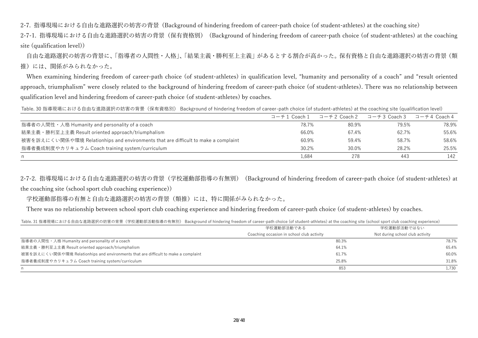2-7. 指導現場における⾃由な進路選択の妨害の背景 (Background of hindering freedom of career-path choice (of student-athletes) at the coaching site)

2-7-1. 指導現場における⾃由な進路選択の妨害の背景(保有資格別) (Background of hindering freedom of career-path choice (of student-athletes) at the coaching site (qualification level))

自由な進路選択の妨害の背景に、「指導者の人間性・人格」、「結果主義・勝利至上主義」があるとする割合が高かった。保有資格と自由な進路選択の妨害の背景(類 推)には、関係がみられなかった。

When examining hindering freedom of career-path choice (of student-athletes) in qualification level, "humanity and personality of a coach" and "result oriented approach, triumphalism" were closely related to the background of hindering freedom of career-path choice (of student-athletes). There was no relationship between qualification level and hindering freedom of career-path choice (of student-athletes) by coaches.

Table. 30 指導現場における自由な進路選択の妨害の背景(保有資格別) Background of hindering freedom of career-path choice (of student-athletes) at the coaching site (qualification level)

|                                                                                    | コーチ1 Coach1 | コーチ2 Coach 2 | コーチ3 Coach 3 | コーチ4 Coach 4 |
|------------------------------------------------------------------------------------|-------------|--------------|--------------|--------------|
| 指導者の人間性・人格 Humanity and personality of a coach                                     | 78.7%       | 80.9%        | 79.5%        | 78.9%        |
| 結果主義・勝利至上主義 Result oriented approach/triumphalism                                  | 66.0%       | 67.4%        | 62.7%        | 55.6%        |
| 被害を訴えにくい関係や環境 Relationhips and environments that are difficult to make a complaint | 60.9%       | 59.4%        | 58.7%        | 58.6%        |
| 指導者養成制度やカリキュラム Coach training system/curriculum                                    | 30.2%       | 30.0%        | 28.2%        | 25.5%        |
| n                                                                                  | 1,684       | 278          | 443          | 142          |

2-7-2. 指導現場における⾃由な進路選択の妨害の背景(学校運動部指導の有無別) (Background of hindering freedom of career-path choice (of student-athletes) at the coaching site (school sport club coaching experience))

学校運動部指導の有無と⾃由な進路選択の妨害の背景(類推)には、特に関係がみられなかった。

There was no relationship between school sport club coaching experience and hindering freedom of career-path choice (of student-athletes) by coaches.

Table. 31 指導現場における自由な進路選択の妨害の背景(学校運動部活動指導の有無別) Background of hindering freedom of career-path choice (of student-athletes) at the coaching site (school sport club coaching experience)

|                                                                                    | 学校運動部活動である                                | 学校運動部活動ではない                     |
|------------------------------------------------------------------------------------|-------------------------------------------|---------------------------------|
|                                                                                    | Coaching occasion in school club activity | Not during school club activity |
| 指導者の人間性・人格 Humanity and personality of a coach                                     | 80.3%                                     | 78.7%                           |
| 結果主義・勝利至上主義 Result oriented approach/triumphalism                                  | 64.1%                                     | 65.4%                           |
| 被害を訴えにくい関係や環境 Relationhips and environments that are difficult to make a complaint | 61.7%                                     | 60.0%                           |
| 指導者養成制度やカリキュラム Coach training system/curriculum                                    | 25.8%                                     | 31.8%                           |
| n.                                                                                 | 853                                       | 1.730                           |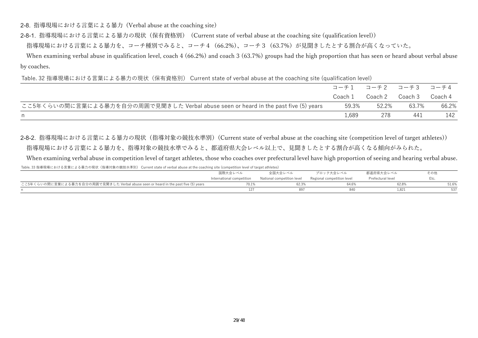2-8. 指導現場における⾔葉による暴⼒ (Verbal abuse at the coaching site)

2-8-1. 指導現場における⾔葉による暴⼒の現状(保有資格別) (Current state of verbal abuse at the coaching site (qualification level))

指導現場における言葉による暴力を、コーチ種別でみると、コーチ4 (66.2%)、コーチ3 (63.7%) が見聞きしたとする割合が高くなっていた。

When examining verbal abuse in qualification level, coach 4 (66.2%) and coach 3 (63.7%) groups had the high proportion that has seen or heard about verbal abuse by coaches.

Table. 32 指導現場における言葉による暴力の現状(保有資格別) Current state of verbal abuse at the coaching site (qualification level)

|                                                                                     | コーチ1 コーチ2 コーチ3 コーチ4 |                 |       |         |
|-------------------------------------------------------------------------------------|---------------------|-----------------|-------|---------|
|                                                                                     | Coach 1             | Coach 2 Coach 3 |       | Coach 4 |
| ここ5年くらいの間に言葉による暴力を自分の周囲で見聞きした Verbal abuse seen or heard in the past five (5) years | 59.3%               | 52.2%           | 63.7% | 66.2%   |
| n.                                                                                  | 1,689               | 278             | 441   | 142     |

2-8-2. 指導現場における言葉による暴力の現状 (指導対象の競技水準別) (Current state of verbal abuse at the coaching site (competition level of target athletes)) お導現場における言葉による暴力を、指導対象の競技水準でみると、都道府県大会レベル以上で、見聞きしたとする割合が高くなる傾向がみられた。

When examining verbal abuse in competition level of target athletes, those who coaches over prefectural level have high proportion of seeing and hearing verbal abuse. Table. 33 指導現場における言葉による暴力の現状(指導対象の競技水準別) Current state of verbal abuse at the coaching site (competition level of target athletes)

|                                                                                     | 国際大会レベル<br>全国大会レベル        |                            | ブロック大会レベル                  | 都道府県大会レベル         | その他   |
|-------------------------------------------------------------------------------------|---------------------------|----------------------------|----------------------------|-------------------|-------|
|                                                                                     | International competition | National competition level | Regional competition level | Prefectural level | Etc.  |
| ここ5年くらいの間に言葉による暴力を自分の周囲で見聞きした Verbal abuse seen or heard in the past five (5) years | 70.1%                     | 62.3%                      | 64.6%                      | 62.8%             | 51.6% |
|                                                                                     |                           |                            |                            | $1.82^{\circ}$    |       |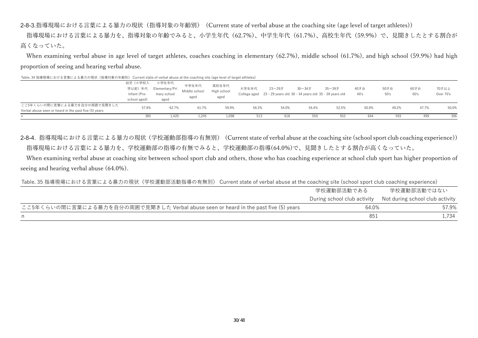2-8-3.指導現場における⾔葉による暴⼒の現状(指導対象の年齢別) (Current state of verbal abuse at the coaching site (age level of target athletes))

指導現場における言葉による暴力を、指導対象の年齢でみると、小学生年代(62.7%)、中学生年代(61.7%)、高校生年代(59.9%)で、見聞きしたとする割合が ⾼くなっていた。

When examining verbal abuse in age level of target athletes, coaches coaching in elementary (62.7%), middle school (61.7%), and high school (59.9%) had high proportion of seeing and hearing verbal abuse.

| TODIC: JT JEHF 26000 PERPT & 금 木 PE & 장상기 22 2607 NHT + FAT 3622 干 빠지기 - OUTTCHE JECELO OF VEHICLE OUR DOUGHING JILE (USE ICVE) OF EGISEE GEHICLEJ |                                                   |                                                |                                |                              |       |        |                                                                                     |        |              |              |              |                    |
|----------------------------------------------------------------------------------------------------------------------------------------------------|---------------------------------------------------|------------------------------------------------|--------------------------------|------------------------------|-------|--------|-------------------------------------------------------------------------------------|--------|--------------|--------------|--------------|--------------------|
|                                                                                                                                                    | 幼児(小学校入<br>学以前)年代<br>Infant (Pre-<br>school aged) | 小学生年代<br>Elementary/Pri<br>mary school<br>aged | 中学生年代<br>Middle school<br>aged | 高校生年代<br>High school<br>aged | 大学生年代 | 23~29才 | 30 $\sim$ 34才<br>College aged 23 - 29 years old 30 - 34 years old 35 - 39 years old | 35~39才 | 40才台<br>40's | 50才台<br>50's | 60才台<br>60's | 70才以上<br>Over 70's |
| ここ5年くらいの間に言葉による暴力を自分の周囲で見聞きした<br>Verbal abuse seen or heard in the past five (5) years                                                             | 57.9%                                             | 62.7%                                          | 61.7%                          | 59.9%                        | 56.3% | 54.0%  | 54.4%                                                                               | 52.5%  | 50.9%        | 49.2%        | 47.7%        | 50.0%              |
|                                                                                                                                                    | 385                                               | 1,420                                          | 1,245                          | 1.098                        | 513   | 618    | 550                                                                                 | 552    | 644          | 593          | 499          | 306                |

Table. 34 指導現場における言葉による暴力の現状(指導対象の年齢別) Current state of verbal abuse at the coaching site (age level of target athletes)

2-8-4. 指導現場における⾔葉による暴⼒の現状(学校運動部指導の有無別) (Current state of verbal abuse at the coaching site (school sport club coaching experience)) 指導現場における言葉による暴力を、学校運動部の指導の有無でみると、学校運動部の指導(64.0%)で、見聞きしたとする割合が高くなっていた。

 When examining verbal abuse at coaching site between school sport club and others, those who has coaching experience at school club sport has higher proportion of seeing and hearing verbal abuse (64.0%).

Table. 35 指導現場における言葉による暴力の現状(学校運動部活動指導の有無別) Current state of verbal abuse at the coaching site (school sport club coaching experience)

|                                                                                     | 学校運動部活動である | 学校運動部活動ではない                                                 |
|-------------------------------------------------------------------------------------|------------|-------------------------------------------------------------|
|                                                                                     |            | During school club activity Not during school club activity |
| ここ5年くらいの間に言葉による暴力を自分の周囲で見聞きした Verbal abuse seen or heard in the past five (5) years | 64.0%      | 57.9%                                                       |
|                                                                                     | 851        | l.734                                                       |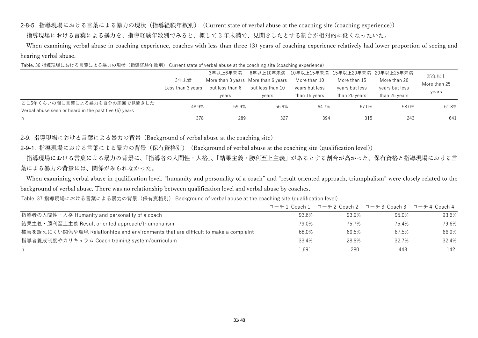2-8-5. 指導現場における⾔葉による暴⼒の現状(指導経験年数別) (Current state of verbal abuse at the coaching site (coaching experience))

指導現場における言葉による暴力を、指導経験年数別でみると、概して3年未満で、見聞きしたとする割合が相対的に低くなったいた。

When examining verbal abuse in coaching experience, coaches with less than three (3) years of coaching experience relatively had lower proportion of seeing and hearing verbal abuse.

Table. 36 指導現場における言葉による暴力の現状(指導経験年数別) Current state of verbal abuse at the coaching site (coaching experience)

|                                                       |                   | 3年以上6年未満        |                                     | 6年以上10年未満 10年以上15年未満 15年以上20年未満 20年以上25年未満 |                |                | 25年以上        |
|-------------------------------------------------------|-------------------|-----------------|-------------------------------------|--------------------------------------------|----------------|----------------|--------------|
|                                                       | 3年未満              |                 | More than 3 years More than 6 years | More than 10                               | More than 15   | More than 20   | More than 25 |
|                                                       | Less than 3 years | but less than 6 | but less than 10                    | years but less                             | years but less | years but less |              |
|                                                       |                   | years           | years                               | than 15 years                              | than 20 vears  | than 25 vears  | years        |
| ここ5年くらいの間に言葉による暴力を自分の周囲で見聞きした                         | 48.9%             | 59.9%           | 56.9%                               | 64.7%                                      | 67.0%          | 58.0%          | 61.8%        |
| Verbal abuse seen or heard in the past five (5) years |                   |                 |                                     |                                            |                |                |              |
| n                                                     | 378               | 289             | 327                                 | 394                                        | 315            | 243            | 641          |

2-9. 指導現場における⾔葉による暴⼒の背景 (Background of verbal abuse at the coaching site)

2-9-1. 指導現場における⾔葉による暴⼒の背景(保有資格別) (Background of verbal abuse at the coaching site (qualification level))

指導現場における言葉による暴力の背景に、「指導者の人間性・人格」、「結果主義・勝利至上主義」があるとする割合が高かった。保有資格と指導現場における言 葉による暴力の背景には、関係がみられなかった。

When examining verbal abuse in qualification level, "humanity and personality of a coach" and "result oriented approach, triumphalism" were closely related to the background of verbal abuse. There was no relationship between qualification level and verbal abuse by coaches.

Table. 37 指導現場における言葉による暴力の背景(保有資格別) Background of verbal abuse at the coaching site (qualification level)

|                                                                                    |       |       | コーチ1 Coach1 コーチ2 Coach2 コーチ3 Coach3 コーチ4 Coach4 |       |
|------------------------------------------------------------------------------------|-------|-------|-------------------------------------------------|-------|
| 指導者の人間性・人格 Humanity and personality of a coach                                     | 93.6% | 93.9% | 95.0%                                           | 93.6% |
| 結果主義·勝利至上主義 Result oriented approach/triumphalism                                  | 79.0% | 75.7% | 75.4%                                           | 79.6% |
| 被害を訴えにくい関係や環境 Relationhips and environments that are difficult to make a complaint | 68.0% | 69.5% | 67.5%                                           | 66.9% |
| 指導者養成制度やカリキュラム Coach training system/curriculum                                    | 33.4% | 28.8% | 32.7%                                           | 32.4% |
| n.                                                                                 | 1,691 | 280   | 443                                             | 142   |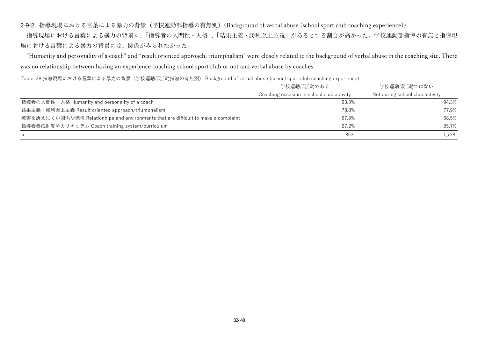2-9-2. 指導現場における⾔葉による暴⼒の背景(学校運動部指導の有無別)(Background of verbal abuse (school sport club coaching experience))

□指導現場における言葉による暴力の背景に、「指導者の人間性・人格」、「結果主義・勝利至上主義」があるとする割合が高かった。学校運動部指導の有無と指導現 場における⾔葉による暴⼒の背景には、関係がみられなかった。

 "Humanity and personality of a coach" and "result oriented approach, triumphalism" were closely related to the background of verbal abuse in the coaching site. There was no relationship between having an experience coaching school sport club or not and verbal abuse by coaches.

#### Table. 38 指導現場における言葉による暴力の背景(学校運動部活動指導の有無別) Background of verbal abuse (school sport club coaching experience)

|                                                                                    | 学校運動部活動である                                | 学校運動部活動ではない                     |
|------------------------------------------------------------------------------------|-------------------------------------------|---------------------------------|
|                                                                                    | Coaching occasion in school club activity | Not during school club activity |
| 指導者の人間性・人格 Humanity and personality of a coach                                     | 93.0%                                     | 94.3%                           |
| 結果主義 · 勝利至上主義 Result oriented approach/triumphalism                                | 78.8%                                     | 77.9%                           |
| 被害を訴えにくい関係や環境 Relationhips and environments that are difficult to make a complaint | 67.8%                                     | 68.5%                           |
| 指導者養成制度やカリキュラム Coach training system/curriculum                                    | 27.2%                                     | 35.7%                           |
| n.                                                                                 | 853                                       | 1,738                           |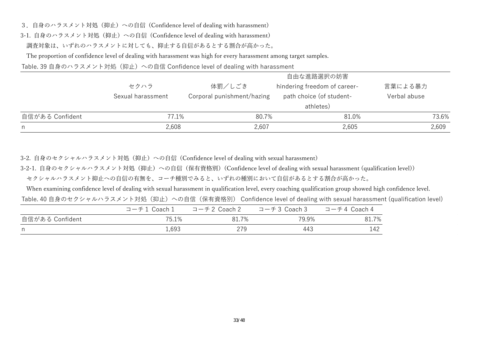3. 自身のハラスメント対処 (抑止) への自信 (Confidence level of dealing with harassment)

3-1. 自身のハラスメント対処 (抑止) への自信 (Confidence level of dealing with harassment)

調査対象は、いずれのハラスメントに対しても、抑止する自信があるとする割合が高かった。

The proportion of confidence level of dealing with harassment was high for every harassment among target samples.

Table. 39 自身のハラスメント対処(抑止)への自信 Confidence level of dealing with harassment

|                 |                           |                                      | 自由な進路選択の妨害                                                            |                         |
|-----------------|---------------------------|--------------------------------------|-----------------------------------------------------------------------|-------------------------|
|                 | セクハラ<br>Sexual harassment | 体罰/しごき<br>Corporal punishment/hazing | hindering freedom of career-<br>path choice (of student-<br>athletes) | 言葉による暴力<br>Verbal abuse |
| 自信がある Confident | 77.1%                     | 80.7%                                | 81.0%                                                                 | 73.6%                   |
| n.              | 2,608                     | 2,607                                | 2,605                                                                 | 2,609                   |

3-2. 自身のセクシャルハラスメント対処 (抑止) への自信 (Confidence level of dealing with sexual harassment)

3-2-1. 自身のセクシャルハラスメント対処 (抑止) への自信 (保有資格別) (Confidence level of dealing with sexual harassment (qualification level))

セクシャルハラスメント抑止への自信の有無を、コーチ種別でみると、いずれの種別において自信があるとする割合が高かった。

When examining confidence level of dealing with sexual harassment in qualification level, every coaching qualification group showed high confidence level.

Table. 40 自身のセクシャルハラスメント対処(抑止)への自信(保有資格別) Confidence level of dealing with sexual harassment (qualification level)

|                 | コーチ1 Coach1 | コーチ2 Coach 2 | コーチ3 Coach 3 | コーチ4 Coach 4 |
|-----------------|-------------|--------------|--------------|--------------|
| 自信がある Confident | 75.1%       | 81.7%        | 79.9%        | 81.7%        |
| n.              | 1,693       | 279          | 443          | 142          |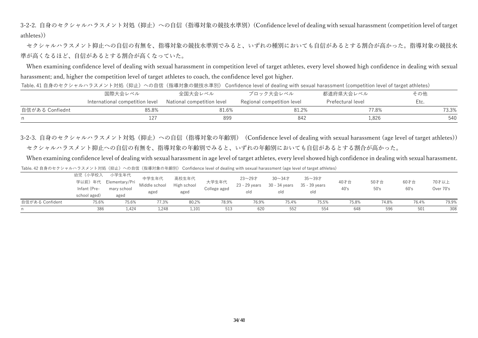3-2-2. 自身のセクシャルハラスメント対処(抑止)への自信(指導対象の競技水準別)(Confidence level of dealing with sexual harassment (competition level of target athletes))

セクシャルハラスメント抑止への自信の有無を、指導対象の競技水準別でみると、いずれの種別においても自信があるとする割合が高かった。指導対象の競技水 準が高くなるほど、自信があるとする割合が高くなっていた。

When examining confidence level of dealing with sexual harassment in competition level of target athletes, every level showed high confidence in dealing with sexual harassment; and, higher the competition level of target athletes to coach, the confidence level got higher.

|                 | Table. 41 自身のセクシャルハラスメント対処(抑止)への自信(指導対象の競技水準別) Confidence level of dealing with sexual harassment (competition level of target athletes) |                            |                            |                   |       |
|-----------------|------------------------------------------------------------------------------------------------------------------------------------------|----------------------------|----------------------------|-------------------|-------|
|                 | 国際大会レベル                                                                                                                                  | 全国大会レベル                    | ブロック大会レベル                  | 都道府県大会レベル         | その他   |
|                 | International competition level                                                                                                          | National competition level | Regional competition level | Prefectural level | Etc.  |
| 自信がある Confiednt | 85.8%                                                                                                                                    | 81.6%                      | 81.2%                      | 77.8%             | 73.3% |
|                 |                                                                                                                                          | 899                        | 842                        | 1.826             | 540   |

3-2-3. 自身のセクシャルハラスメント対処 (抑止) への自信 (指導対象の年齢別) (Confidence level of dealing with sexual harassment (age level of target athletes)) セクシャルハラスメント抑止への自信の有無を、指導対象の年齢別でみると、いずれの年齢別においても自信があるとする割合が高かった。

When examining confidence level of dealing with sexual harassment in age level of target athletes, every level showed high confidence in dealing with sexual harassment.

Table. 42 自身のセクシャルハラスメント対処(抑止)への自信(指導対象の年齢別) Confidence level of dealing with sexual harassment (age level of target athletes)

| school aged)<br>自信がある Confident<br>75.6% | aged<br>75.6%                                                    | 77.3%<br>80.2%       | 78.9%                 | 76.9%                   | 75.4%                               | 75.5%                   | 75.8%        | 74.8%        | 76.4%        | 79.9%              |
|------------------------------------------|------------------------------------------------------------------|----------------------|-----------------------|-------------------------|-------------------------------------|-------------------------|--------------|--------------|--------------|--------------------|
|                                          |                                                                  |                      |                       |                         |                                     |                         |              |              |              |                    |
|                                          | aged                                                             | aged                 |                       | old                     | old                                 | old                     |              |              |              |                    |
| 幼児(小学校入<br>学以前)年代<br>Infant (Pre-        | 小学生年代<br>中学生年代<br>Elementary/Pri<br>Middle school<br>mary school | 高校生年代<br>High school | 大学生年代<br>College aged | 23~29才<br>23 - 29 years | 30 $\sim$ 34 $\pm$<br>30 - 34 years | 35~39才<br>35 - 39 years | 40才台<br>40's | 50才台<br>50's | 60才台<br>60's | 70才以上<br>Over 70's |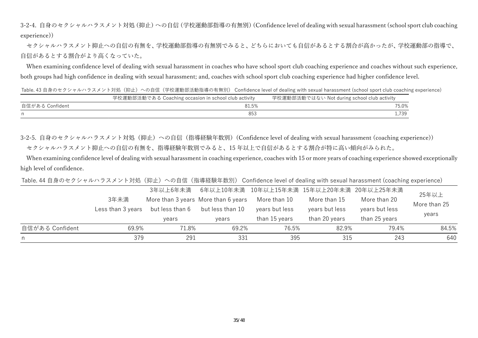3-2-4. 自身のセクシャルハラスメント対処 (抑止) への自信 (学校運動部指導の有無別) (Confidence level of dealing with sexual harassment (school sport club coaching experience))

セクシャルハラスメント抑止への自信の有無を、学校運動部指導の有無別でみると、どちらにおいても自信があるとする割合が高かったが、学校運動部の指導で、 自信があるとする割合がより高くなっていた。

When examining confidence level of dealing with sexual harassment in coaches who have school sport club coaching experience and coaches without such experience, both groups had high confidence in dealing with sexual harassment; and, coaches with school sport club coaching experience had higher confidence level.

Table. 43 自身のセクシャルハラスメント対処(抑止)への自信(学校運動部活動指導の有無別) Confidence level of dealing with sexual harassment (school sport club coaching experience)

|                 | 学校運動部活動である Coaching occasion in school club activity | 学校運動部活動ではない Not during school club activity |
|-----------------|------------------------------------------------------|---------------------------------------------|
| 自信がある Confident | 81.5%                                                | 75.0%                                       |
| n               | 853                                                  | 730<br><b>1.100</b>                         |

3-2-5. 自身のセクシャルハラスメント対処 (抑止) への自信 (指導経験年数別) (Confidence level of dealing with sexual harassment (coaching experience)) セクシャルハラスメント抑止への自信の有無を、指導経験年数別でみると、15 年以上で自信があるとする割合が特に高い傾向がみられた。

When examining confidence level of dealing with sexual harassment in coaching experience, coaches with 15 or more years of coaching experience showed exceptionally high level of confidence.

Table. 44 自身のセクシャルハラスメント対処(抑止)への自信(指導経験年数別) Confidence level of dealing with sexual harassment (coaching experience)

|                 |                   | 3年以上6年未満                            |                  |                |                | 6年以上10年未満 10年以上15年未満 15年以上20年未満 20年以上25年未満 | 25年以上        |
|-----------------|-------------------|-------------------------------------|------------------|----------------|----------------|--------------------------------------------|--------------|
|                 | 3年未満              | More than 3 years More than 6 years |                  | More than 10   | More than 15   | More than 20                               | More than 25 |
|                 | Less than 3 years | but less than 6                     | but less than 10 | years but less | years but less | years but less                             |              |
|                 |                   | vears                               | vears            | than 15 years  | than 20 years  | than 25 years                              | years        |
| 自信がある Confident | 69.9%             | 71.8%                               | 69.2%            | 76.5%          | 82.9%          | 79.4%                                      | 84.5%        |
|                 | 379               | 291                                 | 331              | 395            | 315            | 243                                        | 640          |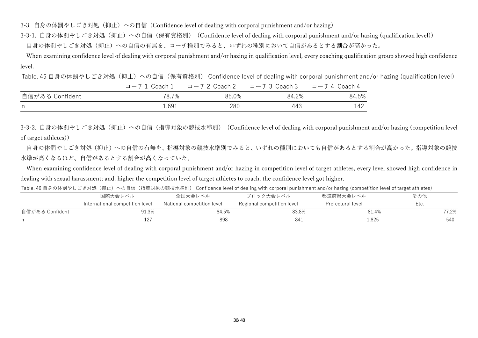3-3. 自身の体罰やしごき対処(抑止)への自信 (Confidence level of dealing with corporal punishment and/or hazing)

3-3-1. 自身の体罰やしごき対処 (抑止) への自信 (保有資格別) (Confidence level of dealing with corporal punishment and/or hazing (qualification level))

自身の体罰やしごき対処(抑止)への自信の有無を、コーチ種別でみると、いずれの種別において自信があるとする割合が高かった。

When examining confidence level of dealing with corporal punishment and/or hazing in qualification level, every coaching qualification group showed high confidence level.

Table. 45 自身の体罰やしごき対処(抑止)への自信(保有資格別) Confidence level of dealing with corporal punishment and/or hazing (qualification level)

|                 | コーチ1 Coach1 | コーチ2 Coach 2  コーチ3 Coach 3 |       | コーチ4 Coach 4 |
|-----------------|-------------|----------------------------|-------|--------------|
| 自信がある Confident | 78.7%       | 85.0%                      | 84.2% | 84.5%        |
| n.              | 1,691       | 280                        | 443   | 142          |

3-3-2. 自身の体罰やしごき対処(抑止)への自信(指導対象の競技水準別) (Confidence level of dealing with corporal punishment and/or hazing (competition level of target athletes))

自身の体罰やしごき対処(抑止)への自信の有無を、指導対象の競技水準別でみると、いずれの種別においても自信があるとする割合が高かった。指導対象の競技 水準が高くなるほど、自信があるとする割合が高くなっていた。

 When examining confidence level of dealing with corporal punishment and/or hazing in competition level of target athletes, every level showed high confidence in dealing with sexual harassment; and, higher the competition level of target athletes to coach, the confidence level got higher.

Table. 46 自身の体罰やしごき対処(抑止)への自信(指導対象の競技水準別) Confidence level of dealing with corporal punishment and/or hazing (competition level of target athletes)

|                 | 国際大会レベル                         | 全国大会レベル                    | ブロック大会レベル                  | 都道府県大会レベル         | その他   |
|-----------------|---------------------------------|----------------------------|----------------------------|-------------------|-------|
|                 | International competition level | National competition level | Regional competition level | Prefectural level | Etc.  |
| 自信がある Confident | 91.3%                           | 84.5%                      | 83.8%                      | 81.4%             | 77.2% |
|                 |                                 | 898                        | 841                        | 1,825             | 540   |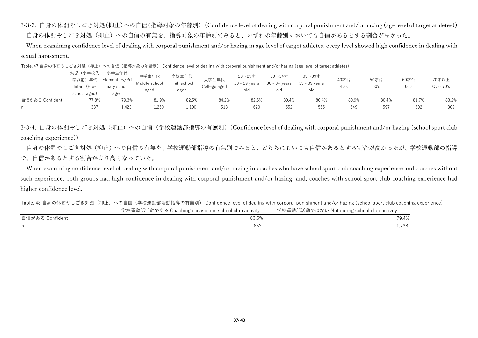3-3-3. 自身の体罰やしごき対処(抑止)への自信(指導対象の年齢別) (Confidence level of dealing with corporal punishment and/or hazing (age level of target athletes)) 自身の体罰やしごき対処(抑止)への自信の有無を、指導対象の年齢別でみると、いずれの年齢別においても自信があるとする割合が高かった。

When examining confidence level of dealing with corporal punishment and/or hazing in age level of target athletes, every level showed high confidence in dealing with sexual harassment.

| Table. 47 自身の体罰やしごき対処(抑止)への自信(指導対象の年齢別) Confidence level of dealing with corporal punishment and/or hazing (age level of target athletes) |
|-------------------------------------------------------------------------------------------------------------------------------------------|
|                                                                                                                                           |

| 自信がある Confident | 77.8%                                              | 79.3%                                          | 81.9%                          | 82.5%                        | 84.2%                 | 82.6%                          | 80.4%                              | 80.4%                          | 80.9%        | 80.4%        | 81.7%        | 83.2%              |
|-----------------|----------------------------------------------------|------------------------------------------------|--------------------------------|------------------------------|-----------------------|--------------------------------|------------------------------------|--------------------------------|--------------|--------------|--------------|--------------------|
| n               | 387                                                | 1,423                                          | 1,250                          | 1,100                        | 513                   | 620                            | 552                                | 555                            | 649          | 597          | 502          | 309                |
|                 | 幼児(小学校入<br>学以前) 年代<br>Infant (Pre-<br>school aged) | 小学生年代<br>Elementary/Pri<br>mary school<br>aged | 中学生年代<br>Middle school<br>aged | 高校生年代<br>High school<br>aged | 大学生年代<br>College aged | 23~29才<br>23 - 29 years<br>old | $30 - 347$<br>30 - 34 years<br>old | 35~39才<br>35 - 39 vears<br>old | 40才台<br>40's | 50才台<br>50's | 60才台<br>60's | 70才以上<br>Over 70's |

3-3-4. 自身の体罰やしごき対処(抑止)への自信(学校運動部指導の有無別)(Confidence level of dealing with corporal punishment and/or hazing (school sport club coaching experience))

自身の体罰やしごき対処(抑止)への自信の有無を、学校運動部指導の有無別でみると、どちらにおいても自信があるとする割合が高かったが、学校運動部の指導 で、自信があるとする割合がより高くなっていた。

When examining confidence level of dealing with corporal punishment and/or hazing in coaches who have school sport club coaching experience and coaches without such experience, both groups had high confidence in dealing with corporal punishment and/or hazing; and, coaches with school sport club coaching experience had higher confidence level.

Table. 48 自身の体罰やしごき対処(抑止)への自信(学校運動部活動指導の有無別) Confidence level of dealing with corporal punishment and/or hazing (school sport club coaching experience)

|                 | 学校運動部活動である Coaching occasion in school club activity | 学校運動部活動ではない Not during school club activity |
|-----------------|------------------------------------------------------|---------------------------------------------|
| 自信がある Confident | 83.6%                                                | 79.4%                                       |
|                 | 853                                                  | .738                                        |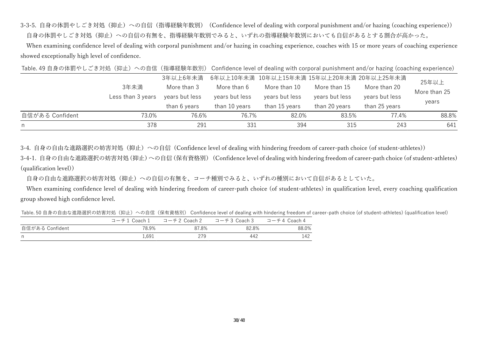3-3-5. 自身の体罰やしごき対処(抑止)への自信(指導経験年数別) (Confidence level of dealing with corporal punishment and/or hazing (coaching experience)) 自身の体罰やしごき対処(抑止)への自信の有無を、指導経験年数別でみると、いずれの指導経験年数別においても自信があるとする割合が高かった。

When examining confidence level of dealing with corporal punishment and/or hazing in coaching experience, coaches with 15 or more years of coaching experience showed exceptionally high level of confidence.

Table. 49 自身の体罰やしごき対処(抑止)への自信(指導経験年数別) Confidence level of dealing with corporal punishment and/or hazing (coaching experience)

|                 |                   | 3年以上6年未満       |                | 6年以上10年未満 10年以上15年未満 15年以上20年未満 20年以上25年未満 |                |                | 25年以上        |
|-----------------|-------------------|----------------|----------------|--------------------------------------------|----------------|----------------|--------------|
|                 | 3年未満              | More than 3    | More than 6    | More than 10                               | More than 15   | More than 20   | More than 25 |
|                 | Less than 3 years | years but less | years but less | years but less                             | years but less | years but less | years        |
|                 |                   | than 6 years   | than 10 years  | than 15 years                              | than 20 years  | than 25 years  |              |
| 自信がある Confident | 73.0%             | 76.6%          | 76.7%          | 82.0%                                      | 83.5%          | 77.4%          | 88.8%        |
| n.              | 378               | 291            | 331            | 394                                        | 315            | 243            | 641          |

3-4. 自身の自由な進路選択の妨害対処 (抑止) への自信 (Confidence level of dealing with hindering freedom of career-path choice (of student-athletes))

3-4-1. 自身の自由な進路選択の妨害対処(抑止)への自信(保有資格別) (Confidence level of dealing with hindering freedom of career-path choice (of student-athletes) (qualification level))

自身の自由な進路選択の妨害対処(抑止)への自信の有無を、コーチ種別でみると、いずれの種別において自信があるとしていた。

When examining confidence level of dealing with hindering freedom of career-path choice (of student-athletes) in qualification level, every coaching qualification group showed high confidence level.

Table. 50 自身の自由な進路選択の妨害対処(抑止)への自信(保有資格別) Confidence level of dealing with hindering freedom of career-path choice (of student-athletes) (qualification level)

|                 | コーチ1 Coach 1 | コーチ2 Coach 2 | コーチ3 Coach 3 | コーチ4 Coach 4 |
|-----------------|--------------|--------------|--------------|--------------|
| 自信がある Confident | 78.9%        | 87.8%        | 82.8%        | 88.0%        |
| n               | 1.691        | 279          | 442          | 142          |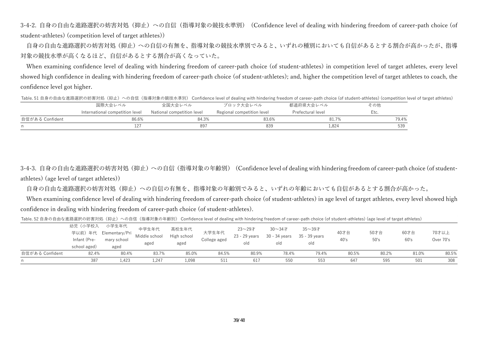3-4-2. 自身の自由な進路選択の妨害対処(抑止)への自信(指導対象の競技水準別) (Confidence level of dealing with hindering freedom of career-path choice (of student-athletes) (competition level of target athletes))

自身の自由な進路選択の妨害対処(抑止)への自信の有無を、指導対象の競技水準別でみると、いずれの種別においても自信があるとする割合が高かったが、指導 対象の競技水準が高くなるほど、自信があるとする割合が高くなっていた。

When examining confidence level of dealing with hindering freedom of career-path choice (of student-athletes) in competition level of target athletes, every level showed high confidence in dealing with hindering freedom of career-path choice (of student-athletes); and, higher the competition level of target athletes to coach, the confidence level got higher.

|                 |                                 |                            |                            |                   | Table. 51 自身の自由な進路選択の妨害対処(抑止)への自信(指導対象の競技水準別) Confidence level of dealing with hindering freedom of career-path choice (of student-athletes) (competition level of target athletes) |  |
|-----------------|---------------------------------|----------------------------|----------------------------|-------------------|-------------------------------------------------------------------------------------------------------------------------------------------------------------------------------------|--|
|                 | 国際大会レベル                         | 全国大会レベル                    | ブロック大会レベル                  | 都道府県大会レベル         | その他                                                                                                                                                                                 |  |
|                 | International competition level | National competition level | Regional competition level | Prefectural level | Etc.                                                                                                                                                                                |  |
| 自信がある Confident | 86.6%                           | 84.3%                      | 83.6%                      | 81.7%             | 79.4%                                                                                                                                                                               |  |
|                 | 127                             | 897                        | 839                        | 1,824             | 539                                                                                                                                                                                 |  |

3-4-3. 自身の自由な進路選択の妨害対処 (抑止) への自信 (指導対象の年齢別) (Confidence level of dealing with hindering freedom of career-path choice (of studentathletes) (age level of target athletes))

自身の自由な進路選択の妨害対処(抑止)への自信の有無を、指導対象の年齢別でみると、いずれの年齢においても自信があるとする割合が高かった。

When examining confidence level of dealing with hindering freedom of career-path choice (of student-athletes) in age level of target athletes, every level showed high confidence in dealing with hindering freedom of career-path choice (of student-athletes).

Table. 52 自身の自由な進路選択の妨害対処(抑止)への自信(指導対象の年齢別) Confidence level of dealing with hindering freedom of career-path choice (of student-athletes) (age level of target athletes)

| 自信がある Confident | 82.4%                                              | 80.4%                                          | 83.7%                          | 85.0%                        | 84.5%                 | 80.9%                          | 78.4%                                      | 79.4%                          | 80.5%        | 80.2%        | 81.0%        | 80.5%              |
|-----------------|----------------------------------------------------|------------------------------------------------|--------------------------------|------------------------------|-----------------------|--------------------------------|--------------------------------------------|--------------------------------|--------------|--------------|--------------|--------------------|
|                 |                                                    |                                                |                                |                              |                       |                                |                                            |                                |              |              |              |                    |
|                 | 幼児(小学校入<br>学以前) 年代<br>Infant (Pre-<br>school aged) | 小学生年代<br>Elementary/Pri<br>mary school<br>aged | 中学生年代<br>Middle school<br>aged | 高校生年代<br>High school<br>aged | 大学生年代<br>College aged | 23~29才<br>23 - 29 years<br>old | 30 $\sim$ 34 $\pm$<br>30 - 34 years<br>old | 35~39才<br>35 - 39 years<br>old | 40才台<br>40's | 50才台<br>50's | 60才台<br>60's | 70才以上<br>Over 70's |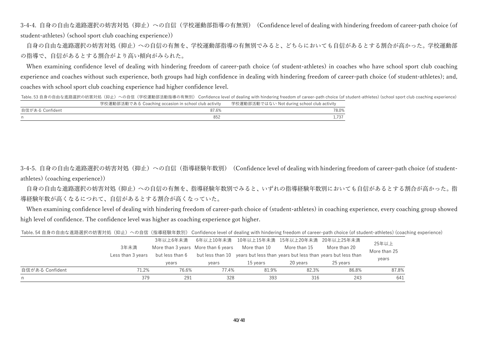3-4-4. 自身の自由な進路選択の妨害対処(抑止)への自信(学校運動部指導の有無別) (Confidence level of dealing with hindering freedom of career-path choice (of student-athletes) (school sport club coaching experience))

自身の自由な進路選択の妨害対処(抑止)への自信の有無を、学校運動部指導の有無別でみると、どちらにおいても自信があるとする割合が高かった。学校運動部 の指導で、自信があるとする割合がより高い傾向がみられた。

When examining confidence level of dealing with hindering freedom of career-path choice (of student-athletes) in coaches who have school sport club coaching experience and coaches without such experience, both groups had high confidence in dealing with hindering freedom of career-path choice (of student-athletes); and, coaches with school sport club coaching experience had higher confidence level.

Table. 53 自身の自由な進路選択の妨害対処(抑止)への自信(学校運動部活動指導の有無別) Confidence level of dealing with hindering freedom of career-path choice (of student-athletes) (school sport club coaching experience)

|                 | 学校運動部活動である Coaching occasion in school club activity | 学校運動部活動ではない Not during school club activity |
|-----------------|------------------------------------------------------|---------------------------------------------|
| 自信がある Confident | 87.6%                                                | 78.0%                                       |
|                 |                                                      |                                             |

3-4-5. 自身の自由な進路選択の妨害対処(抑止)への自信(指導経験年数別) (Confidence level of dealing with hindering freedom of career-path choice (of studentathletes) (coaching experience))

自身の自由な進路選択の妨害対処(抑止)への自信の有無を、指導経験年数別でみると、いずれの指導経験年数別においても自信があるとする割合が高かった。指 導経験年数が高くなるにつれて、自信があるとする割合が高くなっていた。

When examining confidence level of dealing with hindering freedom of career-path choice of (student-athletes) in coaching experience, every coaching group showed high level of confidence. The confidence level was higher as coaching experience got higher.

Table. 54 自身の自由な進路選択の妨害対処(抑止)への自信(指導経験年数別) Confidence level of dealing with hindering freedom of career-path choice (of student-athletes) (coaching experience)

|                 | 3年未満              | 3年以上6年未満<br>More than 3 years More than 6 years | 6年以上10年未満 | 10年以上15年未満 15年以上20年未満 20年以上25年未満<br>More than 10 | More than 15 | More than 20                                                                             | 25年以上                 |
|-----------------|-------------------|-------------------------------------------------|-----------|--------------------------------------------------|--------------|------------------------------------------------------------------------------------------|-----------------------|
|                 | Less than 3 years | but less than 6<br>years                        | vears     | 15 vears                                         | 20 vears     | but less than 10 years but less than years but less than years but less than<br>25 vears | More than 25<br>years |
| 自信がある Confident | 71.2%             | 76.6%                                           | 77.4%     | 81.9%                                            | 82.3%        | 86.8%                                                                                    | 87.8%                 |
| n               | 379               | 291                                             | 328       | 393                                              | 316          | 243                                                                                      | 641                   |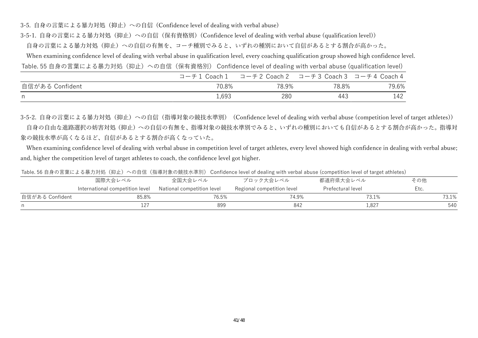3-5. 自身の言葉による暴力対処(抑止)への自信 (Confidence level of dealing with verbal abuse)

3-5-1. 自身の言葉による暴力対処 (抑止) への自信 (保有資格別) (Confidence level of dealing with verbal abuse (qualification level))

自身の言葉による暴力対処(抑止)への自信の有無を、コーチ種別でみると、いずれの種別において自信があるとする割合が高かった。

When examining confidence level of dealing with verbal abuse in qualification level, every coaching qualification group showed high confidence level.

Table. 55 自身の言葉による暴力対処(抑止)への自信(保有資格別) Confidence level of dealing with verbal abuse (qualification level)

|                 | コーチ1 Coach1 | コーチ2 Coach2 コーチ3 Coach3 コーチ4 Coach4 |       |       |
|-----------------|-------------|-------------------------------------|-------|-------|
| 自信がある Confident | 70.8%       | 78.9%                               | 78.8% | 79.6% |
| n,              | 1,693       | 280                                 | 443   | 142   |

3-5-2. 自身の言葉による暴力対処(抑止)への自信(指導対象の競技水準別) (Confidence level of dealing with verbal abuse (competition level of target athletes)) 自身の自由な進路選択の妨害対処(抑止)への自信の有無を、指導対象の競技水準別でみると、いずれの種別においても自信があるとする割合が高かった。指導対 象の競技水準が高くなるほど、自信があるとする割合が高くなっていた。

When examining confidence level of dealing with verbal abuse in competition level of target athletes, every level showed high confidence in dealing with verbal abuse; and, higher the competition level of target athletes to coach, the confidence level got higher.

Table. 56 自身の言葉による暴力対処(抑止)への自信(指導対象の競技水準別) Confidence level of dealing with verbal abuse (competition level of target athletes)

|                 | 国際大会レベル                         | 全国大会レベル                    |                            | 都道府県大会レベル         | その他   |
|-----------------|---------------------------------|----------------------------|----------------------------|-------------------|-------|
|                 | International competition level | National competition level | Regional competition level | Prefectural level | Etc.  |
| 自信がある Confident | 85.8%                           | 76.5%                      | 74.9%                      | 73.1%             | 73.1% |
|                 | 1 2 7                           | 899                        | 842                        | 1,827             | 540   |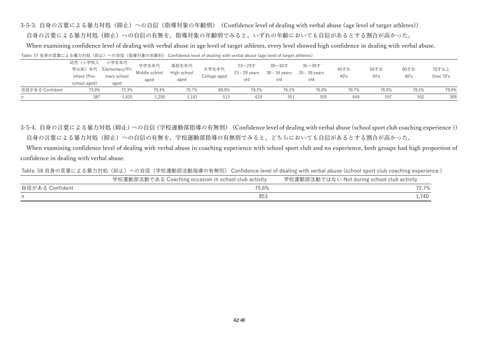3-5-3. 自身の言葉による暴力対処(抑止)への自信(指導対象の年齢別) (Confidence level of dealing with verbal abuse (age level of target athletes))

自身の言葉による暴力対処(抑止)への自信の有無を、指導対象の年齢別でみると、いずれの年齢においても自信があるとする割合が高かった。

When examining confidence level of dealing with verbal abuse in age level of target athletes, every level showed high confidence in dealing with verbal abuse.

Table. 57 自身の言葉による暴力対処(抑止)への自信(指導対象の年齢別) Confidence level of dealing with verbal abuse (age level of target athletes)

| n               | 387                          | 1,425                  | 1,250                  | 1,101                | 513          | 619                     | 551                                 | 555                          | 649   | 597   | 502   | 309       |
|-----------------|------------------------------|------------------------|------------------------|----------------------|--------------|-------------------------|-------------------------------------|------------------------------|-------|-------|-------|-----------|
| 自信がある Confident | 73.9%                        | 72.3%                  | 75.4%                  | 75.7%                | 80.9%        | 78.2%                   | 76.2%                               | 76.0%                        | 76.7% | 76.9% | 78.5% | 79.9%     |
|                 | Infant (Pre-<br>school aged) | mary school<br>aged    | aged                   | aged                 | College aged | blo                     | old                                 | old                          | 40's  | 50's  | 60's  | Over 70's |
|                 |                              | 学以前) 年代 Elementary/Pri | 中学生年代<br>Middle school | 高校生年代<br>High school | 大学生年代        | 23~29才<br>23 - 29 years | 30 $\sim$ 34 $\pm$<br>30 - 34 years | $35 - 39$ 才<br>35 - 39 years | 40才台  | 50才台  | 60才台  | 70才以上     |
|                 | 幼児(小学校入                      | 小学生年代                  |                        |                      |              |                         |                                     |                              |       |       |       |           |

3-5-4. 自身の言葉による暴力対処 (抑止) への自信 (学校運動部指導の有無別) (Confidence level of dealing with verbal abuse (school sport club coaching experience)) 自身の言葉による暴力対処(抑止)への自信の有無を、学校運動部指導の有無別でみると、どちらにおいても自信があるとする割合が高かった。

 When examining confidence level of dealing with verbal abuse in coaching experience with school sport club and no experience, both groups had high proportion of confidence in dealing with verbal abuse.

Table. 58 自身の言葉による暴力対処(抑止)への自信(学校運動部活動指導の有無別) Confidence level of dealing with verbal abuse (school sport club coaching experience )

|                 | 学校運動部活動である Coaching occasion in school club activity | 学校運動部活動ではない Not during school club activity |
|-----------------|------------------------------------------------------|---------------------------------------------|
| 自信がある Confident | 75.6%                                                | 72.7%                                       |
|                 |                                                      |                                             |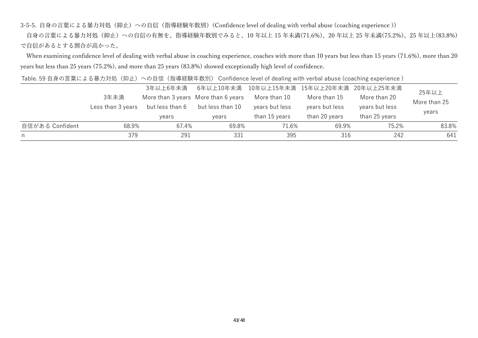3-5-5. 自身の言葉による暴力対処(抑止)への自信(指導経験年数別)(Confidence level of dealing with verbal abuse (coaching experience))

自身の言葉による暴力対処(抑止)への自信の有無を、指導経験年数別でみると、10年以上 15 年未満(71.6%)、20 年以上 25 年未満(75.2%)、25 年以上(83.8%) で自信があるとする割合が高かった。

When examining confidence level of dealing with verbal abuse in coaching experience, coaches with more than 10 years but less than 15 years (71.6%), more than 20 years but less than 25 years (75.2%), and more than 25 years (83.8%) showed exceptionally high level of confidence.

Table. 59 自身の言葉による暴力対処(抑止)への自信(指導経験年数別) Confidence level of dealing with verbal abuse (coaching experience )

|                 |                   | 3年以上6年未満        |                                     | 6年以上10年未満 10年以上15年未満 15年以上20年未満 20年以上25年未満 |                |                | 25年以上        |
|-----------------|-------------------|-----------------|-------------------------------------|--------------------------------------------|----------------|----------------|--------------|
|                 | 3年未満              |                 | More than 3 years More than 6 years | More than 10                               | More than 15   | More than 20   | More than 25 |
|                 | Less than 3 years | but less than 6 | but less than 10                    | years but less                             | years but less | years but less |              |
|                 |                   | years           | vears                               | than 15 years                              | than 20 years  | than 25 years  | years        |
| 自信がある Confident | 68.9%             | 67.4%           | 69.8%                               | 71.6%                                      | 69.9%          | 75.2%          | 83.8%        |
| n.              | 379               | 291             | 331                                 | 395                                        | 316            | 242            | 641          |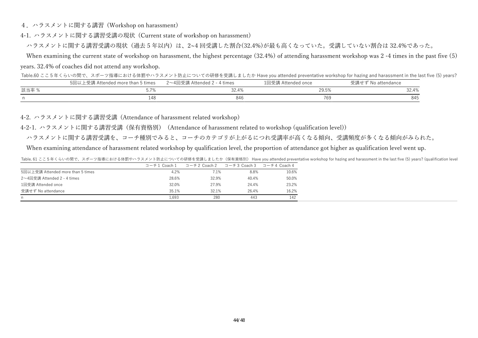4.ハラスメントに関する講習 (Workshop on harassment)

4-1. ハラスメントに関する講習受講の現状 (Current state of workshop on harassment)

ハラスメントに関する講習受講の現状(過去5年以内)は、2~4回受講した割合(32.4%)が最も高くなっていた。受講していない割合は32.4%であった。

 When examining the current state of workshop on harassment, the highest percentage (32.4%) of attending harassment workshop was 2 -4 times in the past five (5) years. 32.4% of coaches did not attend any workshop.

Table.60 ここ5年くらいの間で、スポーツ指導における体罰やハラスメント防止についての研修を受講しましたか Have you attended preventative workshop for hazing and harassment in the last five (5) years?

|       | 5回以上受講 Attended more than 5 times | 2~4回受講 Attended 2 - 4 times | 1回受講 Attended once | 受講せず No attendance |
|-------|-----------------------------------|-----------------------------|--------------------|--------------------|
| 該当率 % |                                   | 32.4%                       | 29.5%              | 32.4%              |
|       | 148                               |                             | 769                | 845                |

4-2. ハラスメントに関する講習受講 (Attendance of harassment related workshop)

4-2-1. ハラスメントに関する講習受講(保有資格別) (Attendance of harassment related to workshop (qualification level))

ハラスメントに関する講習受講を、コーチ種別でみると、コーチのカテゴリが上がるにつれ受講率が⾼くなる傾向、受講頻度が多くなる傾向がみられた。

When examining attendance of harassment related workshop by qualification level, the proportion of attendance got higher as qualification level went up.

Table. 61 ここ5年くらいの間で、スポーツ指導における体罰やハラスメント防止についての研修を受講しましたか(保有資格別) Have you attended preventative workshop for hazing and harassment in the last five (5) years? (qualification level

|                                   | コーチ1 Coach1 | コーチ2 Coach 2 | コーチ3 Coach 3 | コーチ4 Coach 4 |
|-----------------------------------|-------------|--------------|--------------|--------------|
| 5回以上受講 Attended more than 5 times | 4.2%        | 7.1%         | 8.8%         | 10.6%        |
| 2~4回受講 Attended 2 - 4 times       | 28.6%       | 32.9%        | 40.4%        | 50.0%        |
| 1回受講 Attended once                | 32.0%       | 27.9%        | 24.4%        | 23.2%        |
| 受講せず No attendance                | 35.1%       | 32.1%        | 26.4%        | 16.2%        |
| n.                                | 693         | 280          | 443          | 142          |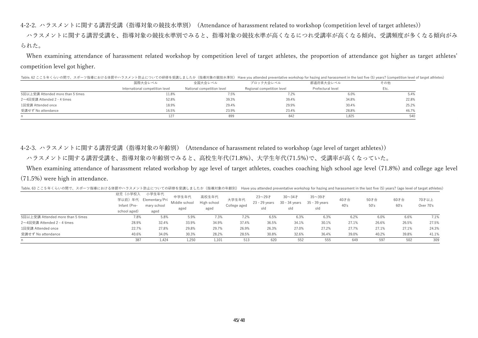4-2-2. ハラスメントに関する講習受講 (指導対象の競技水準別) (Attendance of harassment related to workshop (competition level of target athletes))

ハラスメントに関する講習受講を、指導対象の競技水準別でみると、指導対象の競技水準が高くなるにつれ受講率が高くなる傾向、受講頻度が多くなる傾向がみ られた。

When examining attendance of harassment related workshop by competition level of target athletes, the proportion of attendance got higher as target athletes' competition level got higher.

|                                   | 国際大会レベル                         | 全国大会レベル                    | ブロック大会レベル                  | 都道府県大会レベル         | その他   |
|-----------------------------------|---------------------------------|----------------------------|----------------------------|-------------------|-------|
|                                   | International competition level | National competition level | Regional competition level | Prefectural level | Etc.  |
| 5回以上受講 Attended more than 5 times | 11.8%                           | 7.5%                       | '.2%                       | 6.0%              | 5.4%  |
| 2~4回受講 Attended 2 - 4 times       | 52.8%                           | 39.3%                      | 39.4%                      | 34.8%             | 22.8% |
| 1回受講 Attended once                | 18.9%                           | 29.4%                      | 29.9%                      | 30.4%             | 25.2% |
| 受講せず No attendance                | 16.5%                           | 23.9%                      | 23.4%                      | 28.8%             | 46.7% |
|                                   | 127                             | 899                        | 842                        | 1.825             | 540   |

Table 62 ここちょくらいの間で、スポーツ指導における体罰やハラスメント防止についての研修を受講しましたか(指導対象の競技水準別) Have you attended preventative workshop for hazing and harassment in the last five (5) years? (competition level of target athletes)

4-2-3. ハラスメントに関する講習受講(指導対象の年齢別) (Attendance of harassment related to workshop (age level of target athletes))

ハラスメントに関する講習受講を、指導対象の年齢別でみると、高校生年代(71.8%)、大学生年代(71.5%)で、受講率が高くなっていた。

When examining attendance of harassment related workshop by age level of target athletes, coaches coaching high school age level (71.8%) and college age level (71.5%) were high in attendance.

| Table. 63 ここ5年くらいの間で、スポーツ指導における体罰やハラスメント防止についての研修を受講しましたか(指導対象の年齢別) Have you attended preventative workshop for hazing and harassment in the last five (5) years? (age level of target athletes) |  |
|--------------------------------------------------------------------------------------------------------------------------------------------------------------------------------------------------|--|
|--------------------------------------------------------------------------------------------------------------------------------------------------------------------------------------------------|--|

|                                   | 幼児(小学校入<br>Infant (Pre-<br>school aged) | 小学生年代<br>学以前) 年代 Elementary/Pri<br>mary school<br>aged | 中学生年代<br>Middle school<br>aged | 高校生年代<br>High school<br>aged | 大学生年代<br>College aged | 23~29才<br>23 - 29 vears<br>old | $30 - 347$<br>30 - 34 years<br>old | $35 - 397$<br>35 - 39 vears<br>old | 40才台<br>40's | 50才台<br>50's | 60才台<br>60's | 70才以上<br>Over 70's |
|-----------------------------------|-----------------------------------------|--------------------------------------------------------|--------------------------------|------------------------------|-----------------------|--------------------------------|------------------------------------|------------------------------------|--------------|--------------|--------------|--------------------|
| 5回以上受講 Attended more than 5 times | 7.8%                                    | 5.8%                                                   | 5.9%                           | 7.3%                         | 7.2%                  | 6.5%                           | 6.3%                               | 6.3%                               | 6.2%         | 6.0%         | 6.6%         | 7.1%               |
| 2~4回受講 Attended 2 - 4 times       | 28.9%                                   | 32.4%                                                  | 33.9%                          | 34.9%                        | 37.4%                 | 36.5%                          | 34.1%                              | 30.1%                              | 27.1%        | 26.6%        | 26.5%        | 27.5%              |
| 1回受講 Attended once                | 22.7%                                   | 27.8%                                                  | 29.8%                          | 29.7%                        | 26.9%                 | 26.3%                          | 27.0%                              | 27.2%                              | 27.7%        | 27.1%        | 27.1%        | 24.3%              |
| 受講せず No attendance                | 40.6%                                   | 34.0%                                                  | 30.3%                          | 28.2%                        | 28.5%                 | 30.8%                          | 32.6%                              | 36.4%                              | 39.0%        | 40.2%        | 39.8%        | 41.1%              |
|                                   | 387                                     | 1,424                                                  | 1,250                          | 1,101                        | 513                   | 620                            | 552                                | 555                                | 649          | 597          | 502          | 309                |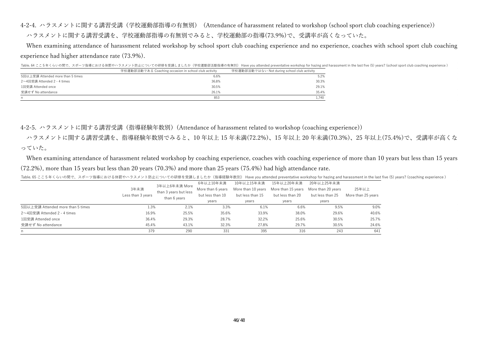4-2-4. ハラスメントに関する講習受講(学校運動部指導の有無別) (Attendance of harassment related to workshop (school sport club coaching experience)) ハラスメントに関する講習受講を、学校運動部指導の有無別でみると、学校運動部の指導(73.9%)で、受講率が⾼くなっていた。

When examining attendance of harassment related workshop by school sport club coaching experience and no experience, coaches with school sport club coaching experience had higher attendance rate (73.9%).

Table. 64 ここ 5 年くらいの間で、スポーツ指導における体罰やハラスメント防止についての研修を受講しましたか(学校運動部活動指導の有無別) Have you attended preventative workshop for hazing and harassment in the last five (5) years? (school sport club coaching experience )

|                                   | 学校運動部活動である Coaching occasion in school club activity | 学校運動部活動ではない Not during school club activity |
|-----------------------------------|------------------------------------------------------|---------------------------------------------|
| 5回以上受講 Attended more than 5 times | 6.6%                                                 | 5.2%                                        |
| 2~4回受講 Attended 2 - 4 times       | 36.8%                                                | 30.3%                                       |
| 1回受講 Attended once                | 30.5%                                                | 29.1%                                       |
| 受講せず No attendance                | 26.1%                                                | 35.4%                                       |
| n                                 | 853                                                  | 1.740                                       |

4-2-5. ハラスメントに関する講習受講(指導経験年数別)(Attendance of harassment related to workshop (coaching experience))

 ハラスメントに関する講習受講を、指導経験年数別でみると、10 年以上 15 年未満(72.2%)、15 年以上 20 年未満(70.3%)、25 年以上(75.4%)で、受講率が⾼くな っていた。

 When examining attendance of harassment related workshop by coaching experience, coaches with coaching experience of more than 10 years but less than 15 years (72.2%), more than 15 years but less than 20 years (70.3%) and more than 25 years (75.4%) had high attendance rate.

|                                   | 3年未満<br>Less than 3 years | 3年以上6年未満 More<br>than 3 years but less<br>than 6 years | 6年以上10年未満<br>More than 6 years<br>but less than 10<br>years | 10年以上15年未満<br>but less than 15<br>years | 15年以上20年未満<br>More than 10 years More than 15 years<br>but less than 20<br>years | 20年以上25年未満<br>More than 20 vears<br>but less than 25<br>years | 25年以上<br>More than 25 years |
|-----------------------------------|---------------------------|--------------------------------------------------------|-------------------------------------------------------------|-----------------------------------------|----------------------------------------------------------------------------------|---------------------------------------------------------------|-----------------------------|
| 5回以上受講 Attended more than 5 times | 1.3%                      | 2.1%                                                   | 3.3%                                                        | 6.1%                                    | 6.6%                                                                             | 9.5%                                                          | 9.0%                        |
| 2~4回受講 Attended 2 - 4 times       | 16.9%                     | 25.5%                                                  | 35.6%                                                       | 33.9%                                   | 38.0%                                                                            | 29.6%                                                         | 40.6%                       |
| 1回受講 Attended once                | 36.4%                     | 29.3%                                                  | 28.7%                                                       | 32.2%                                   | 25.6%                                                                            | 30.5%                                                         | 25.7%                       |
| 受講せず No attendance                | 45.4%                     | 43.1%                                                  | 32.3%                                                       | 27.8%                                   | 29.7%                                                                            | 30.5%                                                         | 24.6%                       |
| n                                 | 379                       | 290                                                    | 331                                                         | 395                                     | 316                                                                              | 243                                                           | 641                         |

Table. 65 ここ5年くらいの間で、スポーツ指導における体罰やハラスメント防止についての研修を受講しましたか(指導経験年数別) Have you attended preventative workshop for hazing and harassment in the last five (5) years? (coaching experience )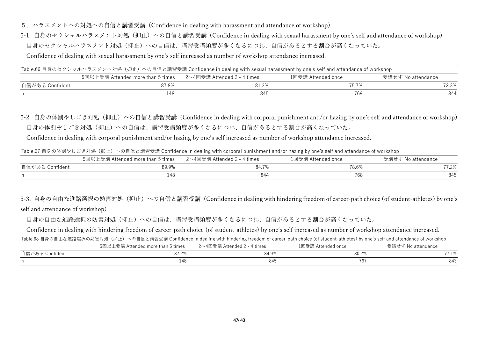- 5. ハラスメントへの対処への自信と講習受講 (Confidence in dealing with harassment and attendance of workshop)
- 5-1. 自身のセクシャルハラスメント対処 (抑止) への自信と講習受講 (Confidence in dealing with sexual harassment by one's self and attendance of workshop) 自身のセクシャルハラスメント対処(抑止)への自信は、講習受講頻度が多くなるにつれ、自信があるとする割合が高くなっていた。

Confidence of dealing with sexual harassment by one's self increased as number of workshop attendance increased.

Table.66 自身のセクシャルハラスメント対処(抑止)への自信と講習受講 Confidence in dealing with sexual harassment by one's self and attendance of workshop

|                 | 5回以上受講 Attended more than 5 times | 2~4回受講 Attended 2 - 4 times | 1回受講 Attended once | 受講せず No attendance |
|-----------------|-----------------------------------|-----------------------------|--------------------|--------------------|
| 自信がある Confident | 87.8%                             | 01.J/0                      |                    | 72.3%              |
|                 |                                   | 845                         | 769                | 844                |

5-2. 自身の体罰やしごき対処(抑止)への自信と講習受講 (Confidence in dealing with corporal punishment and/or hazing by one's self and attendance of workshop) 自身の体罰やしごき対処(抑止)への自信は、講習受講頻度が多くなるにつれ、自信があるとする割合が高くなっていた。

Confidence in dealing with corporal punishment and/or hazing by one's self increased as number of workshop attendance increased.

Table.67 自身の体罰やしごき対処(抑止)への自信と講習受講 Confidence in dealing with corporal punishment and/or hazing by one's self and attendance of workshop

|                 | 5回以上受講 Attended more than 5 times | 2~4回受講 Attended 2 - 4 times | 1回受講 Attended once | 受講せず No attendance |
|-----------------|-----------------------------------|-----------------------------|--------------------|--------------------|
| 自信がある Confident | 89.9%                             | 84.7%                       | 78.6%              | 77.2%              |
| n               |                                   | 844                         | 768                | 845                |

5-3. 自身の自由な進路選択の妨害対処(抑止)への自信と講習受講 (Confidence in dealing with hindering freedom of career-path choice (of student-athletes) by one's self and attendance of workshop)

自身の自由な進路選択の妨害対処(抑止)への自信は、講習受講頻度が多くなるにつれ、自信があるとする割合が高くなっていた。

Confidence in dealing with hindering freedom of career-path choice (of student-athletes) by one's self increased as number of workshop attendance increased.

Table.68 自身の自由な進路選択の妨害対処(抑止)への自信と講習受講 Confidence in dealing with hindering freedom of career-path choice (of student-athletes) by one's self and attendance of workshop

|                 | 5回以.<br>`' ヒ受講 Attended more than 5 times | 2~4回受講 Attended 2 - 4 times | 1回受講 Attended once | No attendance |
|-----------------|-------------------------------------------|-----------------------------|--------------------|---------------|
| 自信がある Confident | 87.2%                                     | 84.9%                       | 80.2%              | $7.1\%$       |
|                 | 148                                       | 845                         | 767                | 843           |